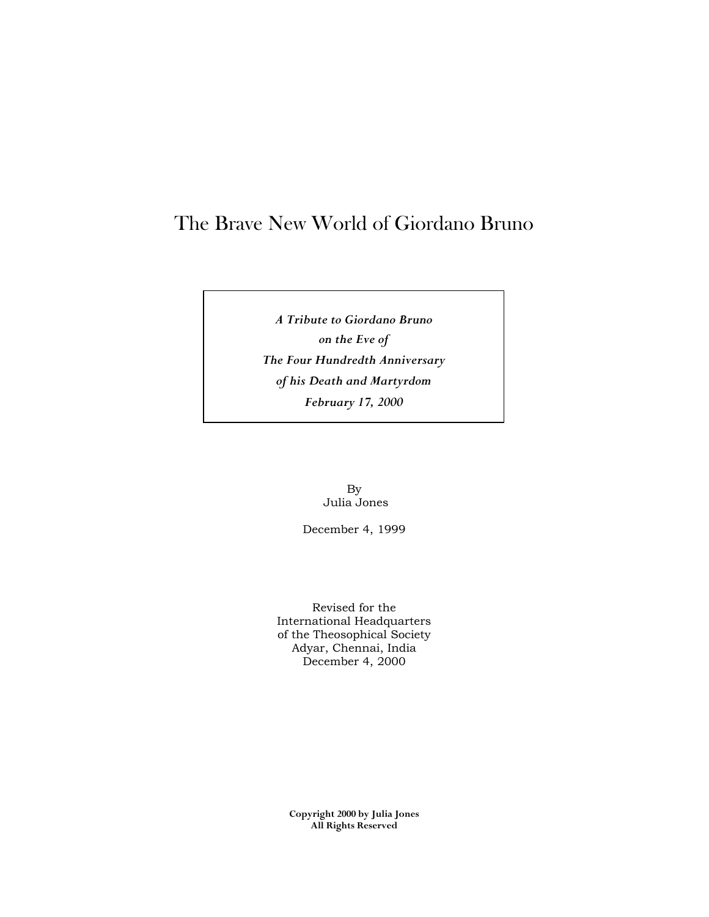# The Brave New World of Giordano Bruno

*A Tribute to Giordano Bruno on the Eve of The Four Hundredth Anniversary of his Death and Martyrdom February 17, 2000*

> By Julia Jones

December 4, 1999

Revised for the International Headquarters of the Theosophical Society Adyar, Chennai, India December 4, 2000

**Copyright 2000 by Julia Jones All Rights Reserved**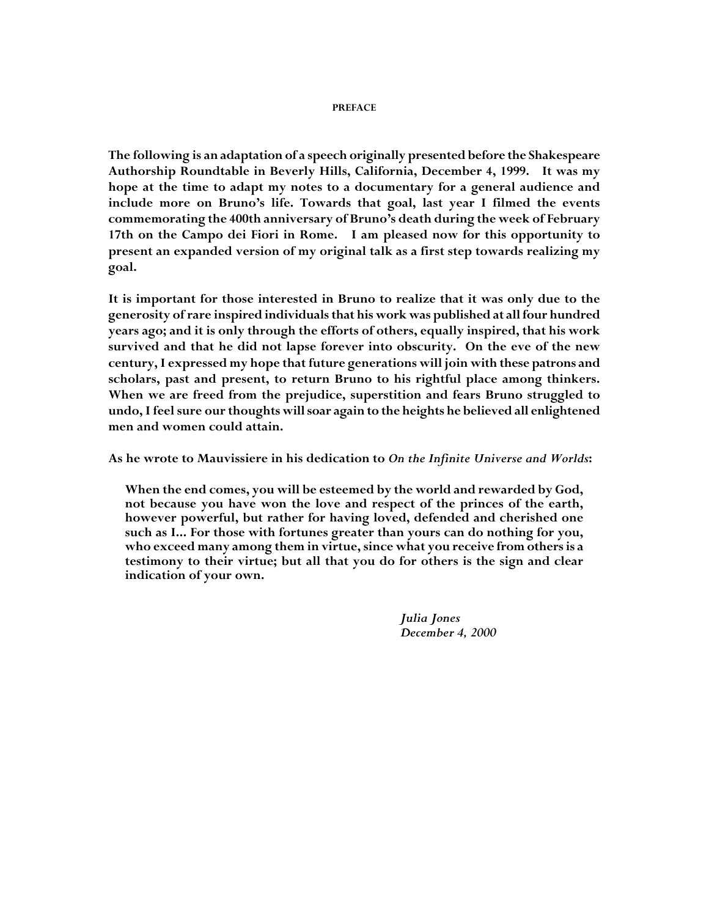#### **PREFACE**

**The following is an adaptation of a speech originally presented before the Shakespeare Authorship Roundtable in Beverly Hills, California, December 4, 1999. It was my hope at the time to adapt my notes to a documentary for a general audience and include more on Bruno's life. Towards that goal, last year I filmed the events commemorating the 400th anniversary of Bruno's death during the week of February 17th on the Campo dei Fiori in Rome. I am pleased now for this opportunity to present an expanded version of my original talk as a first step towards realizing my goal.**

**It is important for those interested in Bruno to realize that it was only due to the generosity of rare inspired individuals that his work was published at all four hundred years ago; and it is only through the efforts of others, equally inspired, that his work survived and that he did not lapse forever into obscurity. On the eve of the new century, I expressed my hope that future generations will join with these patrons and scholars, past and present, to return Bruno to his rightful place among thinkers. When we are freed from the prejudice, superstition and fears Bruno struggled to undo, I feel sure our thoughts will soar again to the heights he believed all enlightened men and women could attain.**

**As he wrote to Mauvissiere in his dedication to** *On the Infinite Universe and Worlds***:**

**When the end comes, you will be esteemed by the world and rewarded by God, not because you have won the love and respect of the princes of the earth, however powerful, but rather for having loved, defended and cherished one such as I... For those with fortunes greater than yours can do nothing for you, who exceed many among them in virtue, since what you receive from others is a testimony to their virtue; but all that you do for others is the sign and clear indication of your own.**

> *Julia Jones December 4, 2000*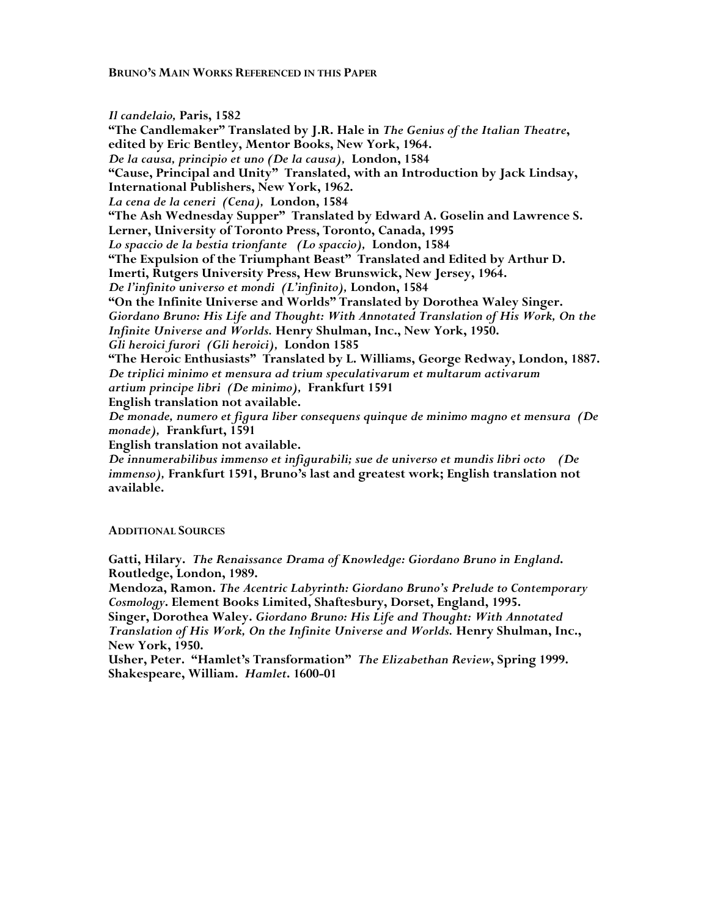**BRUNO'S MAIN WORKS REFERENCED IN THIS PAPER**

*Il candelaio,* **Paris, 1582 "The Candlemaker" Translated by J.R. Hale in** *The Genius of the Italian Theatre***, edited by Eric Bentley, Mentor Books, New York, 1964.** *De la causa, principio et uno (De la causa),* **London, 1584 "Cause, Principal and Unity" Translated, with an Introduction by Jack Lindsay, International Publishers, New York, 1962.** *La cena de la ceneri (Cena),* **London, 1584 "The Ash Wednesday Supper" Translated by Edward A. Goselin and Lawrence S. Lerner, University of Toronto Press, Toronto, Canada, 1995** *Lo spaccio de la bestia trionfante (Lo spaccio),* **London, 1584 "The Expulsion of the Triumphant Beast" Translated and Edited by Arthur D. Imerti, Rutgers University Press, Hew Brunswick, New Jersey, 1964.** *De l'infinito universo et mondi (L'infinito),* **London, 1584 "On the Infinite Universe and Worlds" Translated by Dorothea Waley Singer.** *Giordano Bruno: His Life and Thought: With Annotated Translation of His Work, On the Infinite Universe and Worlds.* **Henry Shulman, Inc., New York, 1950.** *Gli heroici furori (Gli heroici),* **London 1585 "The Heroic Enthusiasts" Translated by L. Williams, George Redway, London, 1887.** *De triplici minimo et mensura ad trium speculativarum et multarum activarum artium principe libri (De minimo),* **Frankfurt 1591 English translation not available.** *De monade, numero et figura liber consequens quinque de minimo magno et mensura (De monade),* **Frankfurt, 1591 English translation not available.**

*De innumerabilibus immenso et infigurabili; sue de universo et mundis libri octo (De immenso),* **Frankfurt 1591, Bruno's last and greatest work; English translation not available.**

#### **ADDITIONAL SOURCES**

**Gatti, Hilary.** *The Renaissance Drama of Knowledge: Giordano Bruno in England***. Routledge, London, 1989.**

**Mendoza, Ramon.** *The Acentric Labyrinth: Giordano Bruno's Prelude to Contemporary Cosmology***. Element Books Limited, Shaftesbury, Dorset, England, 1995.**

**Singer, Dorothea Waley.** *Giordano Bruno: His Life and Thought: With Annotated Translation of His Work, On the Infinite Universe and Worlds.* **Henry Shulman, Inc., New York, 1950.**

**Usher, Peter. "Hamlet's Transformation"** *The Elizabethan Review***, Spring 1999. Shakespeare, William.** *Hamlet***. 1600-01**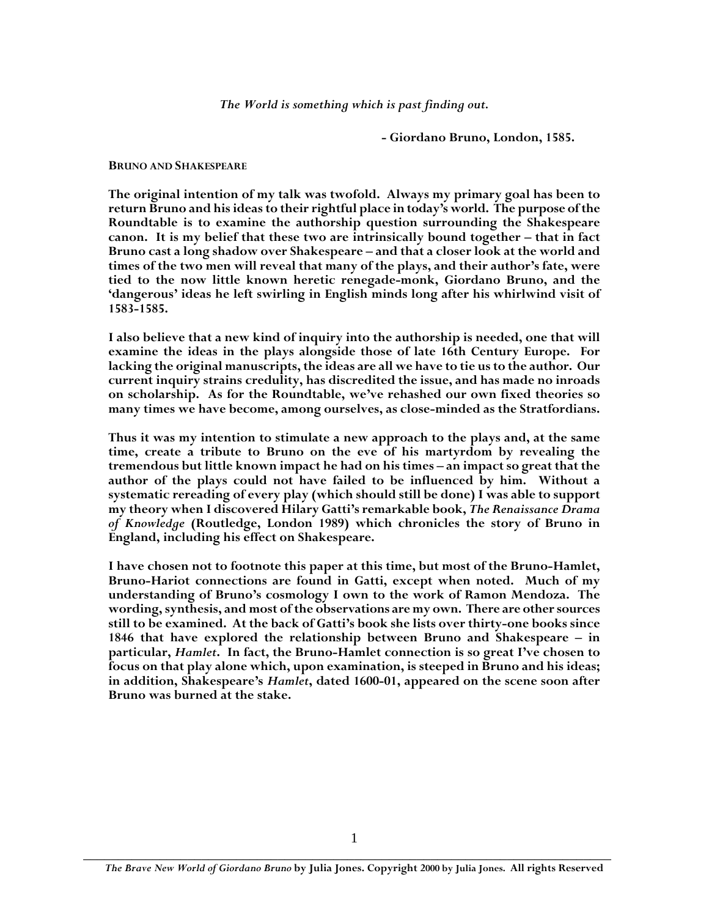*The World is something which is past finding out.*

**- Giordano Bruno, London, 1585.**

**BRUNO AND SHAKESPEARE**

**The original intention of my talk was twofold. Always my primary goal has been to return Bruno and his ideas to their rightful place in today's world. The purpose of the Roundtable is to examine the authorship question surrounding the Shakespeare canon. It is my belief that these two are intrinsically bound together – that in fact Bruno cast a long shadow over Shakespeare – and that a closer look at the world and times of the two men will reveal that many of the plays, and their author's fate, were tied to the now little known heretic renegade-monk, Giordano Bruno, and the 'dangerous' ideas he left swirling in English minds long after his whirlwind visit of 1583-1585.**

**I also believe that a new kind of inquiry into the authorship is needed, one that will examine the ideas in the plays alongside those of late 16th Century Europe. For lacking the original manuscripts, the ideas are all we have to tie us to the author. Our current inquiry strains credulity, has discredited the issue, and has made no inroads on scholarship. As for the Roundtable, we've rehashed our own fixed theories so many times we have become, among ourselves, as close-minded as the Stratfordians.**

**Thus it was my intention to stimulate a new approach to the plays and, at the same time, create a tribute to Bruno on the eve of his martyrdom by revealing the tremendous but little known impact he had on his times – an impact so great that the author of the plays could not have failed to be influenced by him. Without a systematic rereading of every play (which should still be done) I was able to support my theory when I discovered Hilary Gatti's remarkable book,** *The Renaissance Drama of Knowledge* **(Routledge, London 1989) which chronicles the story of Bruno in England, including his effect on Shakespeare.**

**I have chosen not to footnote this paper at this time, but most of the Bruno-Hamlet, Bruno-Hariot connections are found in Gatti, except when noted. Much of my understanding of Bruno's cosmology I own to the work of Ramon Mendoza. The wording, synthesis, and most of the observations are my own. There are other sources still to be examined. At the back of Gatti's book she lists over thirty-one books since 1846 that have explored the relationship between Bruno and Shakespeare – in particular,** *Hamlet***. In fact, the Bruno-Hamlet connection is so great I've chosen to focus on that play alone which, upon examination, is steeped in Bruno and his ideas; in addition, Shakespeare's** *Hamlet***, dated 1600-01, appeared on the scene soon after Bruno was burned at the stake.**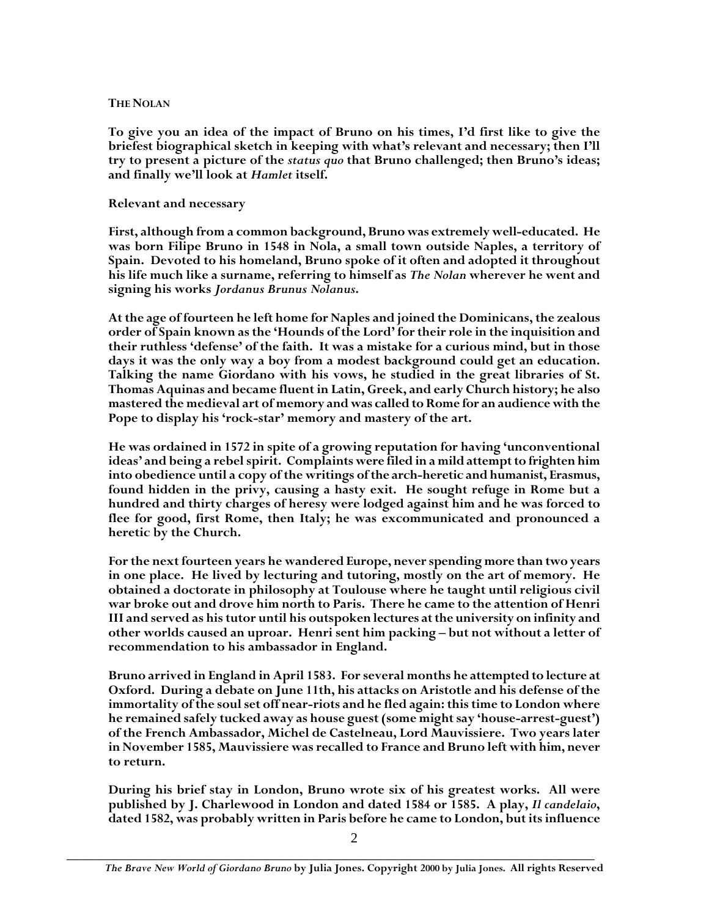#### **THE NOLAN**

**To give you an idea of the impact of Bruno on his times, I'd first like to give the briefest biographical sketch in keeping with what's relevant and necessary; then I'll try to present a picture of the** *status quo* **that Bruno challenged; then Bruno's ideas; and finally we'll look at** *Hamlet* **itself.**

# **Relevant and necessary**

**First, although from a common background, Bruno was extremely well-educated. He was born Filipe Bruno in 1548 in Nola, a small town outside Naples, a territory of Spain. Devoted to his homeland, Bruno spoke of it often and adopted it throughout his life much like a surname, referring to himself as** *The Nolan* **wherever he went and signing his works** *Jordanus Brunus Nolanus***.**

**At the age of fourteen he left home for Naples and joined the Dominicans, the zealous order of Spain known as the 'Hounds of the Lord' for their role in the inquisition and their ruthless 'defense' of the faith. It was a mistake for a curious mind, but in those days it was the only way a boy from a modest background could get an education. Talking the name Giordano with his vows, he studied in the great libraries of St. Thomas Aquinas and became fluent in Latin, Greek, and early Church history; he also mastered the medieval art of memory and was called to Rome for an audience with the Pope to display his 'rock-star' memory and mastery of the art.**

**He was ordained in 1572 in spite of a growing reputation for having 'unconventional ideas' and being a rebel spirit. Complaints were filed in a mild attempt to frighten him into obedience until a copy of the writings of the arch-heretic and humanist, Erasmus, found hidden in the privy, causing a hasty exit. He sought refuge in Rome but a hundred and thirty charges of heresy were lodged against him and he was forced to flee for good, first Rome, then Italy; he was excommunicated and pronounced a heretic by the Church.**

**For the next fourteen years he wandered Europe, never spending more than two years in one place. He lived by lecturing and tutoring, mostly on the art of memory. He obtained a doctorate in philosophy at Toulouse where he taught until religious civil war broke out and drove him north to Paris. There he came to the attention of Henri III and served as his tutor until his outspoken lectures at the university on infinity and other worlds caused an uproar. Henri sent him packing – but not without a letter of recommendation to his ambassador in England.**

**Bruno arrived in England in April 1583. For several months he attempted to lecture at Oxford. During a debate on June 11th, his attacks on Aristotle and his defense of the immortality of the soul set off near-riots and he fled again: this time to London where he remained safely tucked away as house guest (some might say 'house-arrest-guest') of the French Ambassador, Michel de Castelneau, Lord Mauvissiere. Two years later in November 1585, Mauvissiere was recalled to France and Bruno left with him, never to return.**

**During his brief stay in London, Bruno wrote six of his greatest works. All were published by J. Charlewood in London and dated 1584 or 1585. A play,** *Il candelaio***, dated 1582, was probably written in Paris before he came to London, but its influence**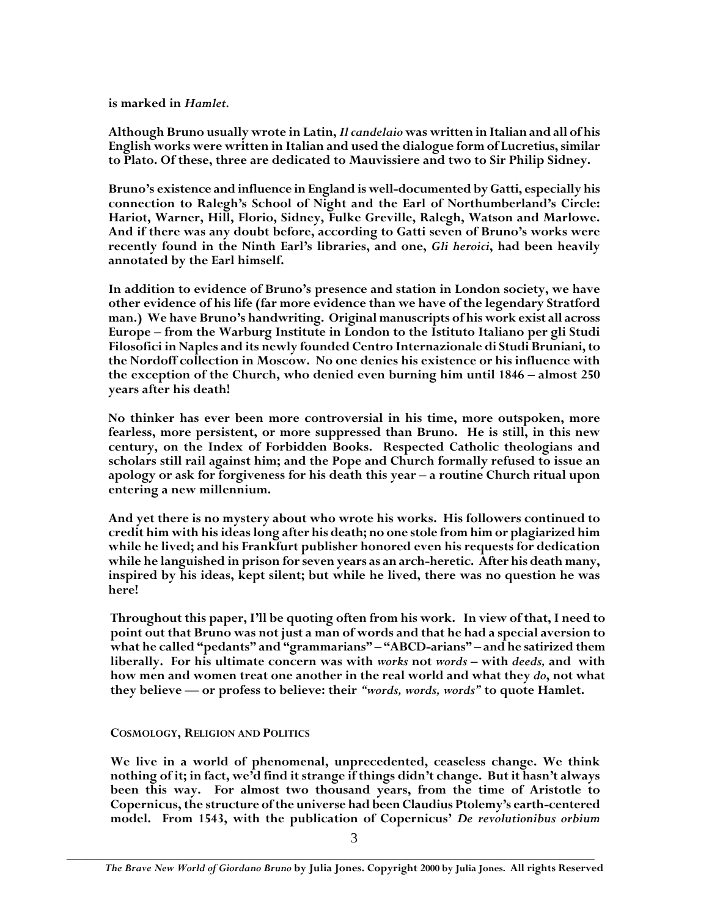**is marked in** *Hamlet.*

**Although Bruno usually wrote in Latin,***Il candelaio* **was written in Italian and all of his English works were written in Italian and used the dialogue form of Lucretius, similar to Plato. Of these, three are dedicated to Mauvissiere and two to Sir Philip Sidney.**

**Bruno's existence and influence in England is well-documented by Gatti, especially his connection to Ralegh's School of Night and the Earl of Northumberland's Circle: Hariot, Warner, Hill, Florio, Sidney, Fulke Greville, Ralegh, Watson and Marlowe. And if there was any doubt before, according to Gatti seven of Bruno's works were recently found in the Ninth Earl's libraries, and one,** *Gli heroici***, had been heavily annotated by the Earl himself.**

**In addition to evidence of Bruno's presence and station in London society, we have other evidence of his life (far more evidence than we have of the legendary Stratford man.) We have Bruno's handwriting. Original manuscripts of his work exist all across Europe – from the Warburg Institute in London to the Istituto Italiano per gli Studi Filosofici in Naples and its newly founded Centro Internazionale di Studi Bruniani, to the Nordoff collection in Moscow. No one denies his existence or his influence with the exception of the Church, who denied even burning him until 1846 – almost 250 years after his death!**

**No thinker has ever been more controversial in his time, more outspoken, more fearless, more persistent, or more suppressed than Bruno. He is still, in this new century, on the Index of Forbidden Books. Respected Catholic theologians and scholars still rail against him; and the Pope and Church formally refused to issue an apology or ask for forgiveness for his death this year – a routine Church ritual upon entering a new millennium.**

**And yet there is no mystery about who wrote his works. His followers continued to credit him with his ideas long after his death; no one stole from him or plagiarized him while he lived; and his Frankfurt publisher honored even his requests for dedication while he languished in prison for seven years as an arch-heretic. After his death many, inspired by his ideas, kept silent; but while he lived, there was no question he was here!**

**Throughout this paper, I'll be quoting often from his work. In view of that, I need to point out that Bruno was not just a man of words and that he had a special aversion to what he called "pedants" and "grammarians" – "ABCD-arians" – and he satirized them liberally. For his ultimate concern was with** *works* **not** *words* **– with** *deeds,* **and with how men and women treat one another in the real world and what they** *do***, not what they believe — or profess to believe: their** *"words, words, words"* **to quote Hamlet.**

## **COSMOLOGY, RELIGION AND POLITICS**

**We live in a world of phenomenal, unprecedented, ceaseless change. We think nothing of it; in fact, we'd find it strange if things didn't change. But it hasn't always been this way. For almost two thousand years, from the time of Aristotle to Copernicus, the structure of the universe had been Claudius Ptolemy's earth-centered model. From 1543, with the publication of Copernicus'** *De revolutionibus orbium*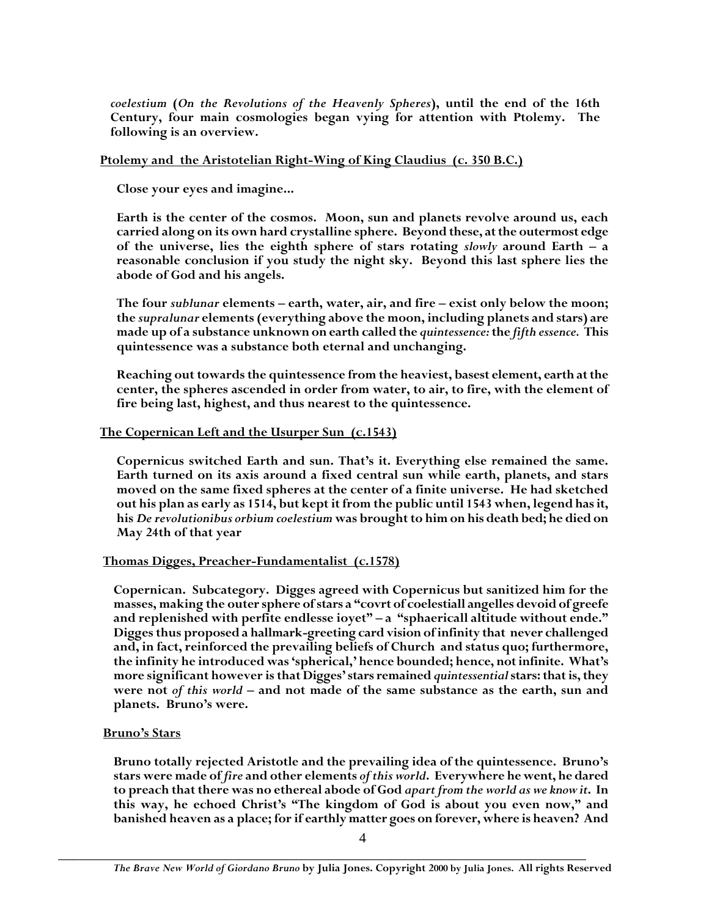*coelestium* **(***On the Revolutions of the Heavenly Spheres***), until the end of the 16th Century, four main cosmologies began vying for attention with Ptolemy. The following is an overview.**

# **Ptolemy and the Aristotelian Right-Wing of King Claudius (c. 350 B.C.)**

**Close your eyes and imagine...**

**Earth is the center of the cosmos. Moon, sun and planets revolve around us, each carried along on its own hard crystalline sphere. Beyond these, at the outermost edge of the universe, lies the eighth sphere of stars rotating** *slowly* **around Earth – a reasonable conclusion if you study the night sky. Beyond this last sphere lies the abode of God and his angels.**

**The four** *sublunar* **elements – earth, water, air, and fire – exist only below the moon; the** *supralunar* **elements (everything above the moon, including planets and stars) are made up of a substance unknown on earth called the** *quintessence:***the** *fifth essence.* **This quintessence was a substance both eternal and unchanging.**

**Reaching out towards the quintessence from the heaviest, basest element, earth at the center, the spheres ascended in order from water, to air, to fire, with the element of fire being last, highest, and thus nearest to the quintessence.**

# **The Copernican Left and the Usurper Sun (c.1543)**

**Copernicus switched Earth and sun. That's it. Everything else remained the same. Earth turned on its axis around a fixed central sun while earth, planets, and stars moved on the same fixed spheres at the center of a finite universe. He had sketched out his plan as early as 1514, but kept it from the public until 1543 when, legend has it, his** *De revolutionibus orbium coelestium* **was brought to him on his death bed; he died on May 24th of that year**

# **Thomas Digges, Preacher-Fundamentalist (c.1578)**

**Copernican. Subcategory. Digges agreed with Copernicus but sanitized him for the masses, making the outer sphere of stars a "covrt of coelestiall angelles devoid of greefe and replenished with perfite endlesse ioyet" – a "sphaericall altitude without ende." Digges thus proposed a hallmark-greeting card vision of infinity that never challenged and, in fact, reinforced the prevailing beliefs of Church and status quo; furthermore, the infinity he introduced was 'spherical,' hence bounded; hence, not infinite. What's more significant however is that Digges' stars remained** *quintessential***stars: that is, they were not** *of this world* **– and not made of the same substance as the earth, sun and planets. Bruno's were.**

## **Bruno's Stars**

**Bruno totally rejected Aristotle and the prevailing idea of the quintessence. Bruno's stars were made of** *fire* **and other elements** *of this world***. Everywhere he went, he dared to preach that there was no ethereal abode of God** *apart from the world as we know it***. In this way, he echoed Christ's "The kingdom of God is about you even now," and banished heaven as a place; for if earthly matter goes on forever, where is heaven? And**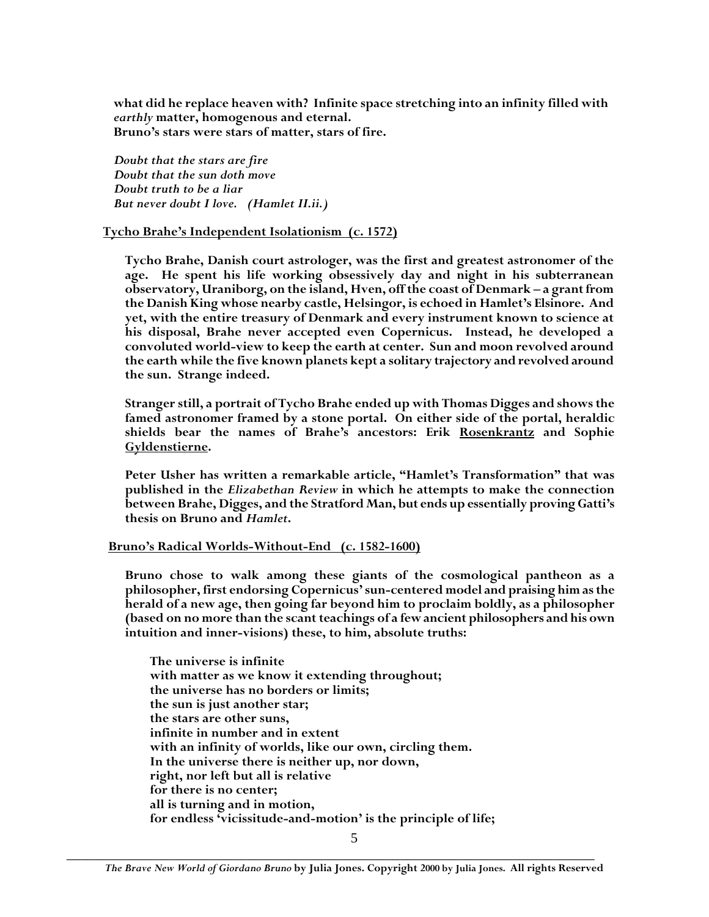**what did he replace heaven with? Infinite space stretching into an infinity filled with** *earthly* **matter, homogenous and eternal. Bruno's stars were stars of matter, stars of fire.**

*Doubt that the stars are fire Doubt that the sun doth move Doubt truth to be a liar But never doubt I love. (Hamlet II.ii.)*

**Tycho Brahe's Independent Isolationism (c. 1572)**

**Tycho Brahe, Danish court astrologer, was the first and greatest astronomer of the age. He spent his life working obsessively day and night in his subterranean observatory, Uraniborg, on the island, Hven, off the coast of Denmark – a grant from the Danish King whose nearby castle, Helsingor, is echoed in Hamlet's Elsinore. And yet, with the entire treasury of Denmark and every instrument known to science at his disposal, Brahe never accepted even Copernicus. Instead, he developed a convoluted world-view to keep the earth at center. Sun and moon revolved around the earth while the five known planets kept a solitary trajectory and revolved around the sun. Strange indeed.**

**Stranger still, a portrait of Tycho Brahe ended up with Thomas Digges and shows the famed astronomer framed by a stone portal. On either side of the portal, heraldic shields bear the names of Brahe's ancestors: Erik Rosenkrantz and Sophie Gyldenstierne.**

**Peter Usher has written a remarkable article, "Hamlet's Transformation" that was published in the** *Elizabethan Review* **in which he attempts to make the connection between Brahe, Digges, and the Stratford Man, but ends up essentially proving Gatti's thesis on Bruno and** *Hamlet***.**

## **Bruno's Radical Worlds-Without-End (c. 1582-1600)**

**Bruno chose to walk among these giants of the cosmological pantheon as a philosopher, first endorsing Copernicus' sun-centered model and praising him as the herald of a new age, then going far beyond him to proclaim boldly, as a philosopher (based on no more than the scant teachings of a few ancient philosophers and his own intuition and inner-visions) these, to him, absolute truths:**

**The universe is infinite with matter as we know it extending throughout; the universe has no borders or limits; the sun is just another star; the stars are other suns, infinite in number and in extent with an infinity of worlds, like our own, circling them. In the universe there is neither up, nor down, right, nor left but all is relative for there is no center; all is turning and in motion, for endless 'vicissitude-and-motion' is the principle of life;**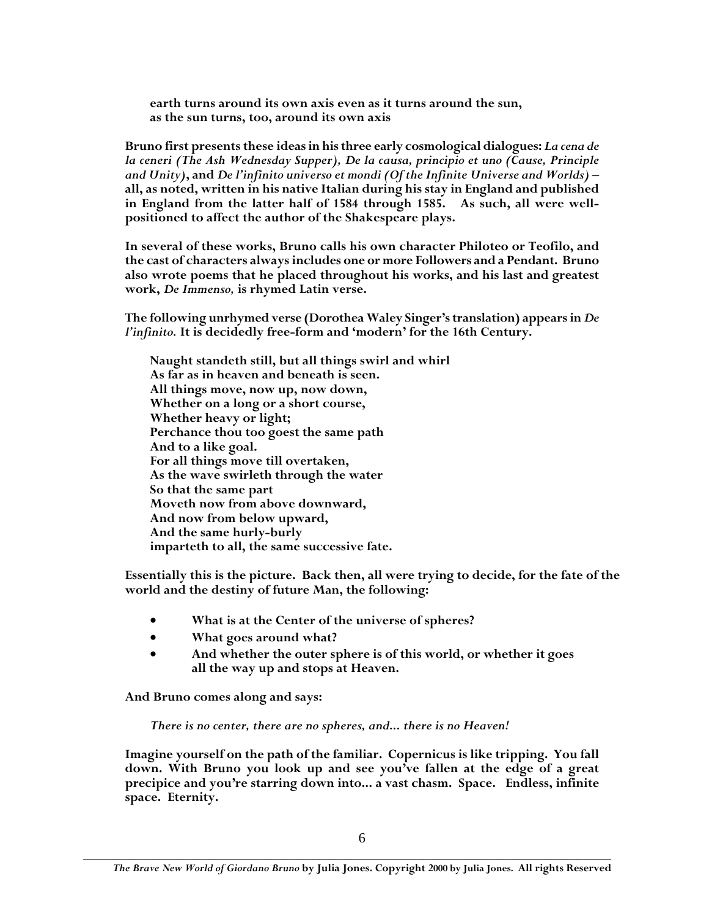**earth turns around its own axis even as it turns around the sun, as the sun turns, too, around its own axis**

**Bruno first presents these ideas in his three early cosmological dialogues:** *La cena de la ceneri (The Ash Wednesday Supper), De la causa, principio et uno (Cause, Principle and Unity)***, and** *De l'infinito universo et mondi (Of the Infinite Universe and Worlds) –* **all, as noted, written in his native Italian during his stay in England and published in England from the latter half of 1584 through 1585. As such, all were wellpositioned to affect the author of the Shakespeare plays.**

**In several of these works, Bruno calls his own character Philoteo or Teofilo, and the cast of characters always includes one or more Followers and a Pendant. Bruno also wrote poems that he placed throughout his works, and his last and greatest work,** *De Immenso,* **is rhymed Latin verse.**

**The following unrhymed verse (Dorothea Waley Singer's translation) appears in** *De l'infinito.* **It is decidedly free-form and 'modern' for the 16th Century.**

**Naught standeth still, but all things swirl and whirl As far as in heaven and beneath is seen. All things move, now up, now down, Whether on a long or a short course, Whether heavy or light; Perchance thou too goest the same path And to a like goal. For all things move till overtaken, As the wave swirleth through the water So that the same part Moveth now from above downward, And now from below upward, And the same hurly-burly imparteth to all, the same successive fate.**

**Essentially this is the picture. Back then, all were trying to decide, for the fate of the world and the destiny of future Man, the following:**

- **What is at the Center of the universe of spheres?**
- **What goes around what?**
- **And whether the outer sphere is of this world, or whether it goes all the way up and stops at Heaven.**

**And Bruno comes along and says:**

*There is no center, there are no spheres, and... there is no Heaven!*

**Imagine yourself on the path of the familiar. Copernicus is like tripping. You fall down. With Bruno you look up and see you've fallen at the edge of a great precipice and you're starring down into... a vast chasm. Space. Endless, infinite space. Eternity.**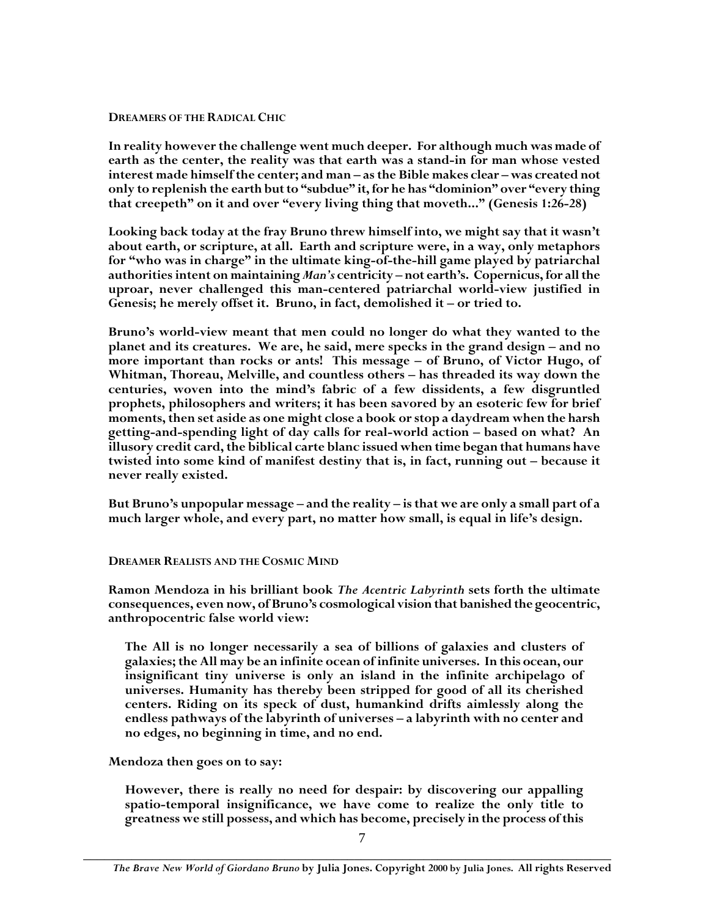#### **DREAMERS OF THE RADICAL CHIC**

**In reality however the challenge went much deeper. For although much was made of earth as the center, the reality was that earth was a stand-in for man whose vested interest made himself the center; and man – as the Bible makes clear – was created not only to replenish the earth but to "subdue" it, for he has "dominion" over "every thing that creepeth" on it and over "every living thing that moveth..." (Genesis 1:26-28)**

**Looking back today at the fray Bruno threw himself into, we might say that it wasn't about earth, or scripture, at all. Earth and scripture were, in a way, only metaphors for "who was in charge" in the ultimate king-of-the-hill game played by patriarchal authorities intent on maintaining** *Man's* **centricity – not earth's. Copernicus, for all the uproar, never challenged this man-centered patriarchal world-view justified in Genesis; he merely offset it. Bruno, in fact, demolished it – or tried to.**

**Bruno's world-view meant that men could no longer do what they wanted to the planet and its creatures. We are, he said, mere specks in the grand design – and no more important than rocks or ants! This message – of Bruno, of Victor Hugo, of Whitman, Thoreau, Melville, and countless others – has threaded its way down the centuries, woven into the mind's fabric of a few dissidents, a few disgruntled prophets, philosophers and writers; it has been savored by an esoteric few for brief moments, then set aside as one might close a book or stop a daydream when the harsh getting-and-spending light of day calls for real-world action – based on what? An illusory credit card, the biblical carte blanc issued when time began that humans have twisted into some kind of manifest destiny that is, in fact, running out – because it never really existed.**

**But Bruno's unpopular message – and the reality – is that we are only a small part of a much larger whole, and every part, no matter how small, is equal in life's design.**

## **DREAMER REALISTS AND THE COSMIC MIND**

**Ramon Mendoza in his brilliant book** *The Acentric Labyrinth* **sets forth the ultimate consequences, even now, of Bruno's cosmological vision that banished the geocentric, anthropocentric false world view:**

**The All is no longer necessarily a sea of billions of galaxies and clusters of galaxies; the All may be an infinite ocean of infinite universes. In this ocean, our insignificant tiny universe is only an island in the infinite archipelago of universes. Humanity has thereby been stripped for good of all its cherished centers. Riding on its speck of dust, humankind drifts aimlessly along the endless pathways of the labyrinth of universes – a labyrinth with no center and no edges, no beginning in time, and no end.**

**Mendoza then goes on to say:**

**However, there is really no need for despair: by discovering our appalling spatio-temporal insignificance, we have come to realize the only title to greatness we still possess, and which has become, precisely in the process of this**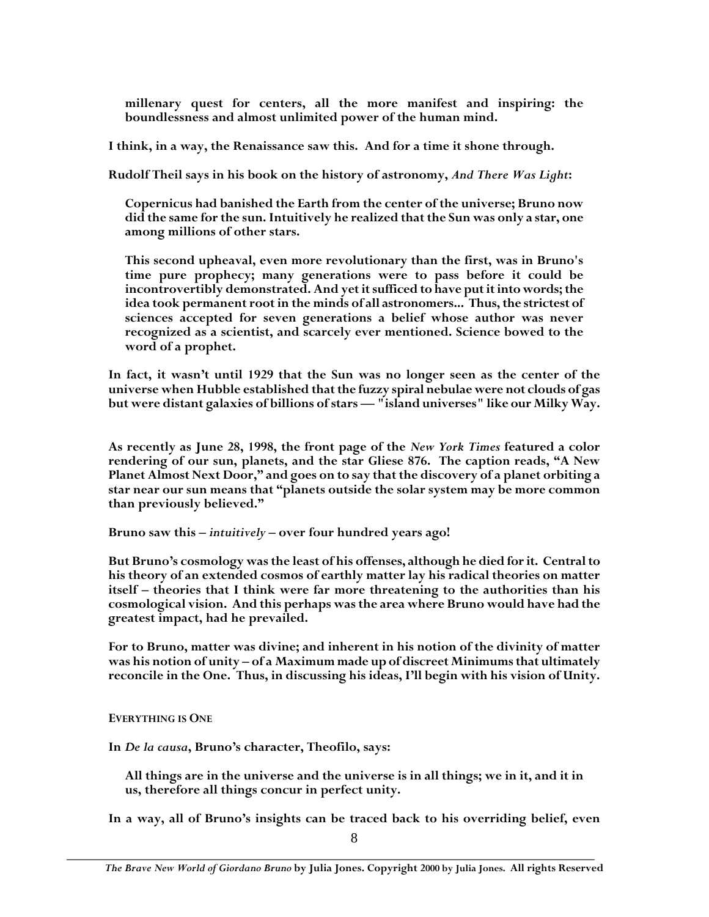**millenary quest for centers, all the more manifest and inspiring: the boundlessness and almost unlimited power of the human mind.**

**I think, in a way, the Renaissance saw this. And for a time it shone through.**

**Rudolf Theil says in his book on the history of astronomy,** *And There Was Light***:**

**Copernicus had banished the Earth from the center of the universe; Bruno now did the same for the sun. Intuitively he realized that the Sun was only a star, one among millions of other stars.**

**This second upheaval, even more revolutionary than the first, was in Bruno's time pure prophecy; many generations were to pass before it could be incontrovertibly demonstrated. And yet it sufficed to have put it into words; the idea took permanent root in the minds of all astronomers... Thus, the strictest of sciences accepted for seven generations a belief whose author was never recognized as a scientist, and scarcely ever mentioned. Science bowed to the word of a prophet.**

**In fact, it wasn't until 1929 that the Sun was no longer seen as the center of the universe when Hubble established that the fuzzy spiral nebulae were not clouds of gas but were distant galaxies of billions of stars — "island universes" like our Milky Way.**

**As recently as June 28, 1998, the front page of the** *New York Times* **featured a color rendering of our sun, planets, and the star Gliese 876. The caption reads, "A New Planet Almost Next Door," and goes on to say that the discovery of a planet orbiting a star near our sun means that "planets outside the solar system may be more common than previously believed."**

**Bruno saw this –** *intuitively* **– over four hundred years ago!**

**But Bruno's cosmology was the least of his offenses, although he died for it. Central to his theory of an extended cosmos of earthly matter lay his radical theories on matter itself – theories that I think were far more threatening to the authorities than his cosmological vision. And this perhaps was the area where Bruno would have had the greatest impact, had he prevailed.**

**For to Bruno, matter was divine; and inherent in his notion of the divinity of matter was his notion of unity – of a Maximum made up of discreet Minimums that ultimately reconcile in the One. Thus, in discussing his ideas, I'll begin with his vision of Unity.**

**EVERYTHING IS ONE**

**In** *De la causa***, Bruno's character, Theofilo, says:**

**All things are in the universe and the universe is in all things; we in it, and it in us, therefore all things concur in perfect unity.**

**In a way, all of Bruno's insights can be traced back to his overriding belief, even**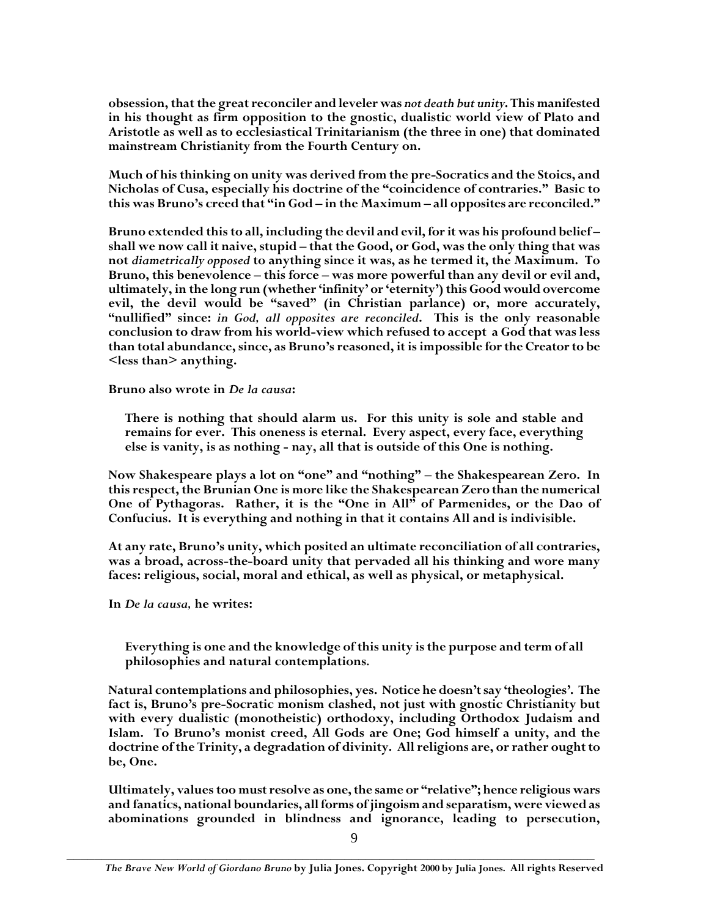**obsession, that the great reconciler and leveler was** *not death but unity***. This manifested in his thought as firm opposition to the gnostic, dualistic world view of Plato and Aristotle as well as to ecclesiastical Trinitarianism (the three in one) that dominated mainstream Christianity from the Fourth Century on.**

**Much of his thinking on unity was derived from the pre-Socratics and the Stoics, and Nicholas of Cusa, especially his doctrine of the "coincidence of contraries." Basic to this was Bruno's creed that "in God – in the Maximum – all opposites are reconciled."**

**Bruno extended this to all, including the devil and evil, for it was his profound belief – shall we now call it naive, stupid – that the Good, or God, was the only thing that was not** *diametrically opposed* **to anything since it was, as he termed it, the Maximum. To Bruno, this benevolence – this force – was more powerful than any devil or evil and, ultimately, in the long run (whether 'infinity' or 'eternity') this Good would overcome evil, the devil would be "saved" (in Christian parlance) or, more accurately, "nullified" since:** *in God, all opposites are reconciled***. This is the only reasonable conclusion to draw from his world-view which refused to accept a God that was less than total abundance, since, as Bruno's reasoned, it is impossible for the Creator to be <less than> anything.**

**Bruno also wrote in** *De la causa***:**

**There is nothing that should alarm us. For this unity is sole and stable and remains for ever. This oneness is eternal. Every aspect, every face, everything else is vanity, is as nothing - nay, all that is outside of this One is nothing.**

**Now Shakespeare plays a lot on "one" and "nothing" – the Shakespearean Zero. In this respect, the Brunian One is more like the Shakespearean Zero than the numerical One of Pythagoras. Rather, it is the "One in All" of Parmenides, or the Dao of Confucius. It is everything and nothing in that it contains All and is indivisible.**

**At any rate, Bruno's unity, which posited an ultimate reconciliation of all contraries, was a broad, across-the-board unity that pervaded all his thinking and wore many faces: religious, social, moral and ethical, as well as physical, or metaphysical.**

**In** *De la causa,* **he writes:**

**Everything is one and the knowledge of this unity is the purpose and term of all philosophies and natural contemplations***.*

**Natural contemplations and philosophies, yes. Notice he doesn't say 'theologies'. The fact is, Bruno's pre-Socratic monism clashed, not just with gnostic Christianity but with every dualistic (monotheistic) orthodoxy, including Orthodox Judaism and Islam. To Bruno's monist creed, All Gods are One; God himself a unity, and the doctrine of the Trinity, a degradation of divinity. All religions are, or rather ought to be, One.**

**Ultimately, values too must resolve as one, the same or "relative"; hence religious wars and fanatics, national boundaries, all forms of jingoism and separatism, were viewed as abominations grounded in blindness and ignorance, leading to persecution,**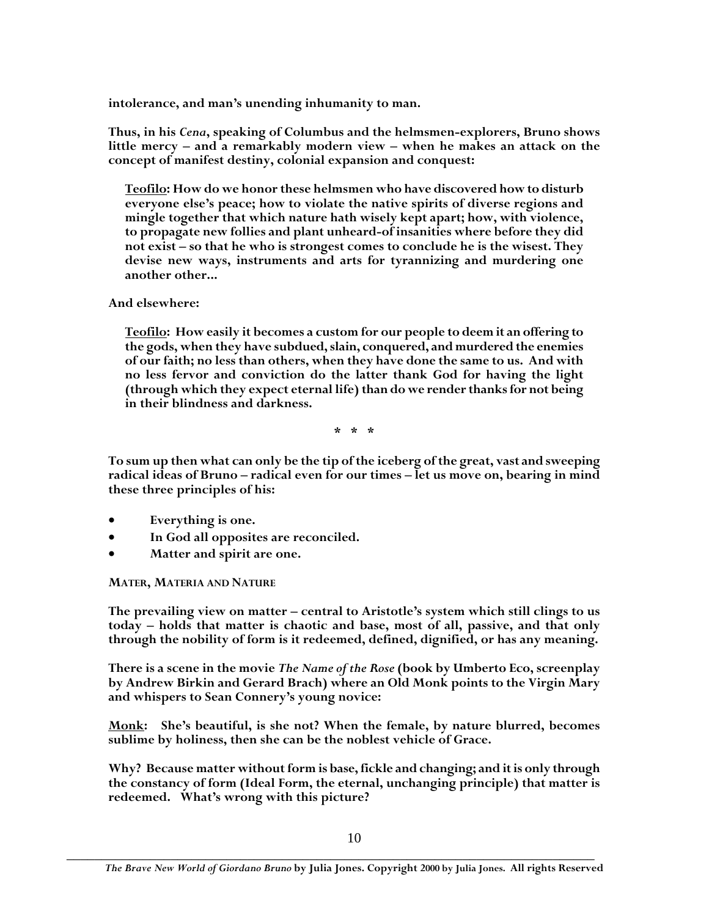**intolerance, and man's unending inhumanity to man.**

**Thus, in his** *Cena***, speaking of Columbus and the helmsmen-explorers, Bruno shows little mercy – and a remarkably modern view – when he makes an attack on the concept of manifest destiny, colonial expansion and conquest:**

**Teofilo: How do we honor these helmsmen who have discovered how to disturb everyone else's peace; how to violate the native spirits of diverse regions and mingle together that which nature hath wisely kept apart; how, with violence, to propagate new follies and plant unheard-of insanities where before they did not exist – so that he who is strongest comes to conclude he is the wisest. They devise new ways, instruments and arts for tyrannizing and murdering one another other...**

**And elsewhere:**

**Teofilo: How easily it becomes a custom for our people to deem it an offering to the gods, when they have subdued, slain, conquered, and murdered the enemies of our faith; no less than others, when they have done the same to us. And with no less fervor and conviction do the latter thank God for having the light (through which they expect eternal life) than do we render thanks for not being in their blindness and darkness.**

**\* \* \***

**To sum up then what can only be the tip of the iceberg of the great, vast and sweeping radical ideas of Bruno – radical even for our times – let us move on, bearing in mind these three principles of his:**

- **Everything is one.**
- **In God all opposites are reconciled.**
- **Matter and spirit are one.**

**MATER, MATERIA AND NATURE**

**The prevailing view on matter – central to Aristotle's system which still clings to us today – holds that matter is chaotic and base, most of all, passive, and that only through the nobility of form is it redeemed, defined, dignified, or has any meaning.**

**There is a scene in the movie** *The Name of the Rose* **(book by Umberto Eco, screenplay by Andrew Birkin and Gerard Brach) where an Old Monk points to the Virgin Mary and whispers to Sean Connery's young novice:**

**Monk: She's beautiful, is she not? When the female, by nature blurred, becomes sublime by holiness, then she can be the noblest vehicle of Grace.**

**Why? Because matter without form is base, fickle and changing; and it is only through the constancy of form (Ideal Form, the eternal, unchanging principle) that matter is redeemed. What's wrong with this picture?**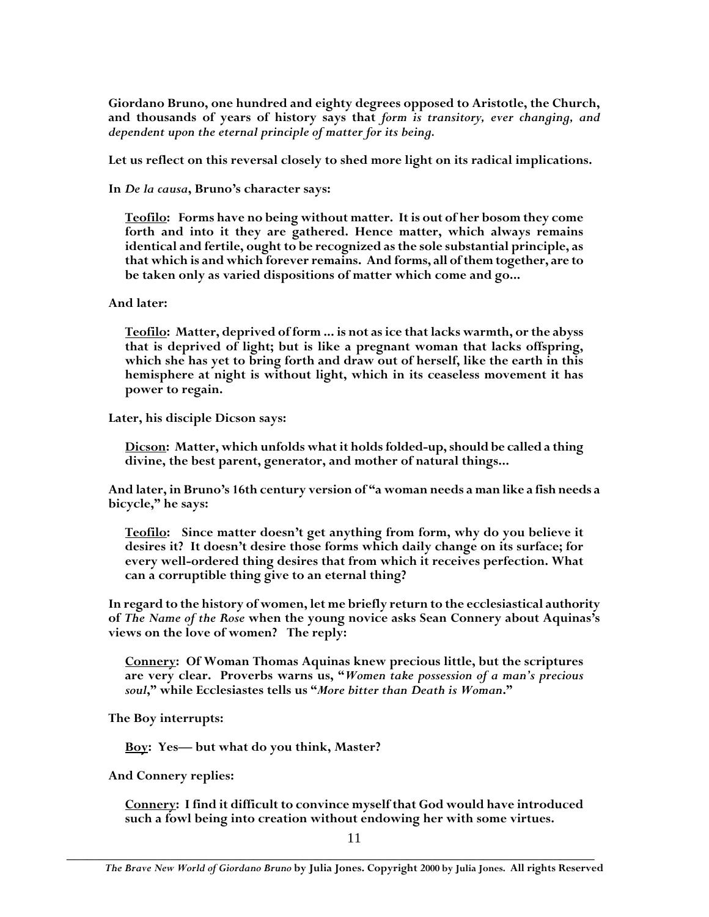**Giordano Bruno, one hundred and eighty degrees opposed to Aristotle, the Church, and thousands of years of history says that** *form is transitory, ever changing, and dependent upon the eternal principle of matter for its being.*

**Let us reflect on this reversal closely to shed more light on its radical implications.**

**In** *De la causa***, Bruno's character says:**

**Teofilo: Forms have no being without matter. It is out of her bosom they come forth and into it they are gathered. Hence matter, which always remains identical and fertile, ought to be recognized as the sole substantial principle, as that which is and which forever remains. And forms, all of them together, are to be taken only as varied dispositions of matter which come and go...**

## **And later:**

**Teofilo: Matter, deprived of form ... is not as ice that lacks warmth, or the abyss that is deprived of light; but is like a pregnant woman that lacks offspring, which she has yet to bring forth and draw out of herself, like the earth in this hemisphere at night is without light, which in its ceaseless movement it has power to regain.**

**Later, his disciple Dicson says:**

**Dicson: Matter, which unfolds what it holds folded-up, should be called a thing divine, the best parent, generator, and mother of natural things...**

**And later, in Bruno's 16th century version of "a woman needs a man like a fish needs a bicycle," he says:**

**Teofilo: Since matter doesn't get anything from form, why do you believe it desires it? It doesn't desire those forms which daily change on its surface; for every well-ordered thing desires that from which it receives perfection. What can a corruptible thing give to an eternal thing?**

**In regard to the history of women, let me briefly return to the ecclesiastical authority of** *The Name of the Rose* **when the young novice asks Sean Connery about Aquinas's views on the love of women? The reply:**

**Connery: Of Woman Thomas Aquinas knew precious little, but the scriptures are very clear. Proverbs warns us, "***Women take possession of a man's precious soul***," while Ecclesiastes tells us "***More bitter than Death is Woman***."**

**The Boy interrupts:**

**Boy: Yes— but what do you think, Master?**

**And Connery replies:**

**Connery: I find it difficult to convince myself that God would have introduced such a fowl being into creation without endowing her with some virtues.**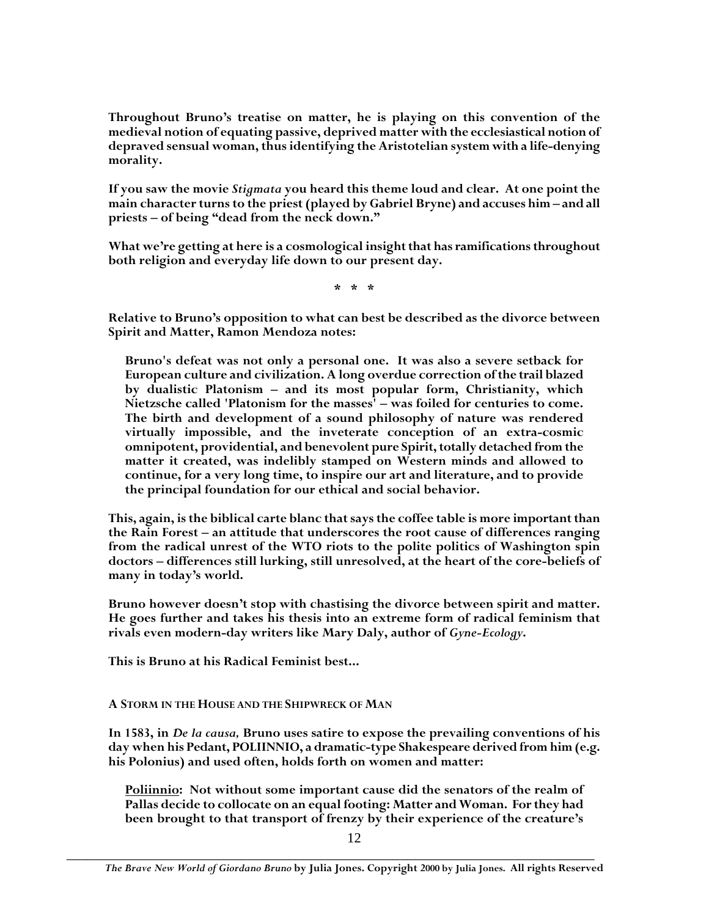**Throughout Bruno's treatise on matter, he is playing on this convention of the medieval notion of equating passive, deprived matter with the ecclesiastical notion of depraved sensual woman, thus identifying the Aristotelian system with a life-denying morality.**

**If you saw the movie** *Stigmata* **you heard this theme loud and clear. At one point the main character turns to the priest (played by Gabriel Bryne) and accuses him – and all priests – of being "dead from the neck down."**

**What we're getting at here is a cosmological insight that has ramifications throughout both religion and everyday life down to our present day.**

**\* \* \***

**Relative to Bruno's opposition to what can best be described as the divorce between Spirit and Matter, Ramon Mendoza notes:**

**Bruno's defeat was not only a personal one. It was also a severe setback for European culture and civilization. A long overdue correction of the trail blazed by dualistic Platonism – and its most popular form, Christianity, which Nietzsche called 'Platonism for the masses' – was foiled for centuries to come. The birth and development of a sound philosophy of nature was rendered virtually impossible, and the inveterate conception of an extra-cosmic omnipotent, providential, and benevolent pure Spirit, totally detached from the matter it created, was indelibly stamped on Western minds and allowed to continue, for a very long time, to inspire our art and literature, and to provide the principal foundation for our ethical and social behavior.**

**This, again, is the biblical carte blanc that says the coffee table is more important than the Rain Forest – an attitude that underscores the root cause of differences ranging from the radical unrest of the WTO riots to the polite politics of Washington spin doctors – differences still lurking, still unresolved, at the heart of the core-beliefs of many in today's world.**

**Bruno however doesn't stop with chastising the divorce between spirit and matter. He goes further and takes his thesis into an extreme form of radical feminism that rivals even modern-day writers like Mary Daly, author of** *Gyne-Ecology***.**

**This is Bruno at his Radical Feminist best...**

**A STORM IN THE HOUSE AND THE SHIPWRECK OF MAN**

**In 1583, in** *De la causa,* **Bruno uses satire to expose the prevailing conventions of his day when his Pedant, POLIINNIO, a dramatic-type Shakespeare derived from him (e.g. his Polonius) and used often, holds forth on women and matter:**

**Poliinnio: Not without some important cause did the senators of the realm of Pallas decide to collocate on an equal footing: Matter and Woman. For they had been brought to that transport of frenzy by their experience of the creature's**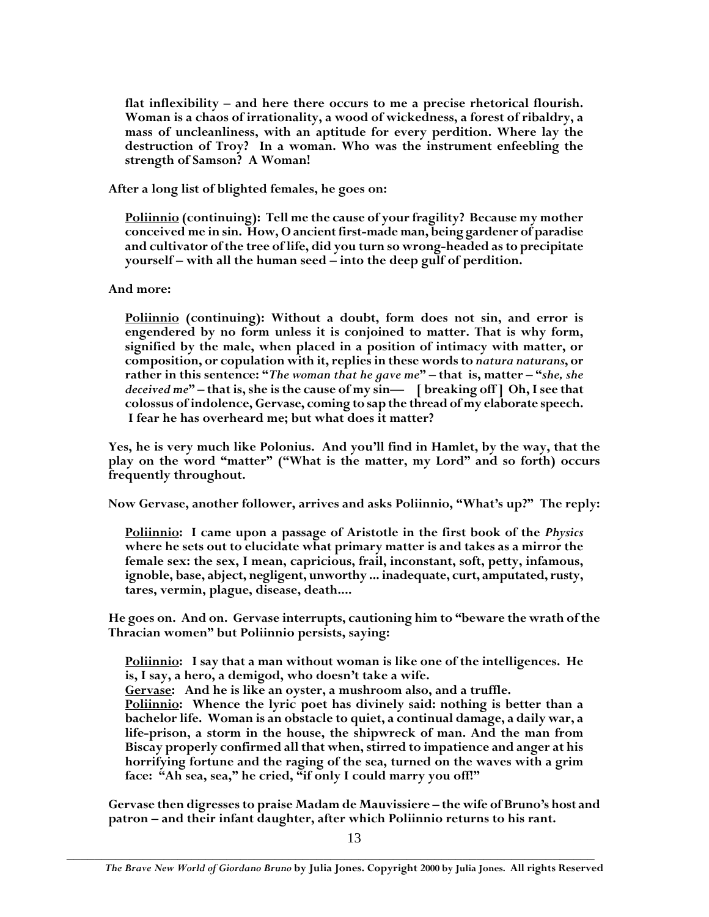**flat inflexibility – and here there occurs to me a precise rhetorical flourish. Woman is a chaos of irrationality, a wood of wickedness, a forest of ribaldry, a mass of uncleanliness, with an aptitude for every perdition. Where lay the destruction of Troy? In a woman. Who was the instrument enfeebling the strength of Samson? A Woman!**

**After a long list of blighted females, he goes on:**

**Poliinnio (continuing): Tell me the cause of your fragility? Because my mother conceived me in sin. How, O ancient first-made man, being gardener of paradise and cultivator of the tree of life, did you turn so wrong-headed as to precipitate yourself – with all the human seed – into the deep gulf of perdition.**

# **And more:**

**Poliinnio (continuing): Without a doubt, form does not sin, and error is engendered by no form unless it is conjoined to matter. That is why form, signified by the male, when placed in a position of intimacy with matter, or composition, or copulation with it, replies in these words to** *natura naturans***, or rather in this sentence: "***The woman that he gave me***" – that is, matter – "***she, she deceived me***" – that is, she is the cause of my sin— [ breaking off ] Oh, I see that colossus of indolence, Gervase, coming to sap the thread of my elaborate speech. I fear he has overheard me; but what does it matter?**

**Yes, he is very much like Polonius. And you'll find in Hamlet, by the way, that the play on the word "matter" ("What is the matter, my Lord" and so forth) occurs frequently throughout.**

**Now Gervase, another follower, arrives and asks Poliinnio, "What's up?" The reply:**

**Poliinnio: I came upon a passage of Aristotle in the first book of the** *Physics* **where he sets out to elucidate what primary matter is and takes as a mirror the female sex: the sex, I mean, capricious, frail, inconstant, soft, petty, infamous, ignoble, base, abject, negligent, unworthy ... inadequate, curt, amputated, rusty, tares, vermin, plague, disease, death....**

**He goes on. And on. Gervase interrupts, cautioning him to "beware the wrath of the Thracian women" but Poliinnio persists, saying:**

**Poliinnio: I say that a man without woman is like one of the intelligences. He is, I say, a hero, a demigod, who doesn't take a wife.**

**Gervase: And he is like an oyster, a mushroom also, and a truffle.**

**Poliinnio: Whence the lyric poet has divinely said: nothing is better than a bachelor life. Woman is an obstacle to quiet, a continual damage, a daily war, a life-prison, a storm in the house, the shipwreck of man. And the man from Biscay properly confirmed all that when, stirred to impatience and anger at his horrifying fortune and the raging of the sea, turned on the waves with a grim face: "Ah sea, sea," he cried, "if only I could marry you off!"**

**Gervase then digresses to praise Madam de Mauvissiere – the wife of Bruno's host and patron – and their infant daughter, after which Poliinnio returns to his rant.**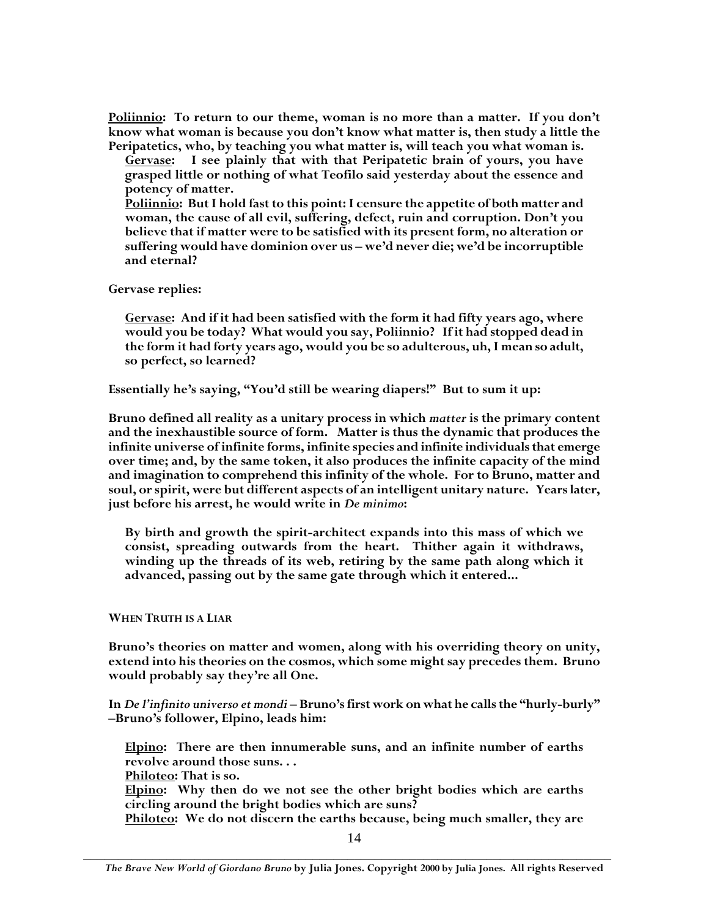**Poliinnio: To return to our theme, woman is no more than a matter. If you don't know what woman is because you don't know what matter is, then study a little the Peripatetics, who, by teaching you what matter is, will teach you what woman is.**

**Gervase: I see plainly that with that Peripatetic brain of yours, you have grasped little or nothing of what Teofilo said yesterday about the essence and potency of matter.**

**Poliinnio: But I hold fast to this point: I censure the appetite of both matter and woman, the cause of all evil, suffering, defect, ruin and corruption. Don't you believe that if matter were to be satisfied with its present form, no alteration or suffering would have dominion over us – we'd never die; we'd be incorruptible and eternal?**

**Gervase replies:**

**Gervase: And if it had been satisfied with the form it had fifty years ago, where would you be today? What would you say, Poliinnio? If it had stopped dead in the form it had forty years ago, would you be so adulterous, uh, I mean so adult, so perfect, so learned?**

**Essentially he's saying, "You'd still be wearing diapers!" But to sum it up:**

**Bruno defined all reality as a unitary process in which** *matter* **is the primary content and the inexhaustible source of form. Matter is thus the dynamic that produces the infinite universe of infinite forms, infinite species and infinite individuals that emerge over time; and, by the same token, it also produces the infinite capacity of the mind and imagination to comprehend this infinity of the whole. For to Bruno, matter and soul, or spirit, were but different aspects of an intelligent unitary nature. Years later, just before his arrest, he would write in** *De minimo***:**

**By birth and growth the spirit-architect expands into this mass of which we consist, spreading outwards from the heart. Thither again it withdraws, winding up the threads of its web, retiring by the same path along which it advanced, passing out by the same gate through which it entered...**

**WHEN TRUTH IS A LIAR**

**Bruno's theories on matter and women, along with his overriding theory on unity, extend into his theories on the cosmos, which some might say precedes them. Bruno would probably say they're all One.**

**In** *De l'infinito universo et mondi* **– Bruno's first work on what he calls the "hurly-burly" –Bruno's follower, Elpino, leads him:**

**Elpino: There are then innumerable suns, and an infinite number of earths revolve around those suns. . .**

**Philoteo: That is so.**

**Elpino: Why then do we not see the other bright bodies which are earths circling around the bright bodies which are suns?**

**Philoteo: We do not discern the earths because, being much smaller, they are**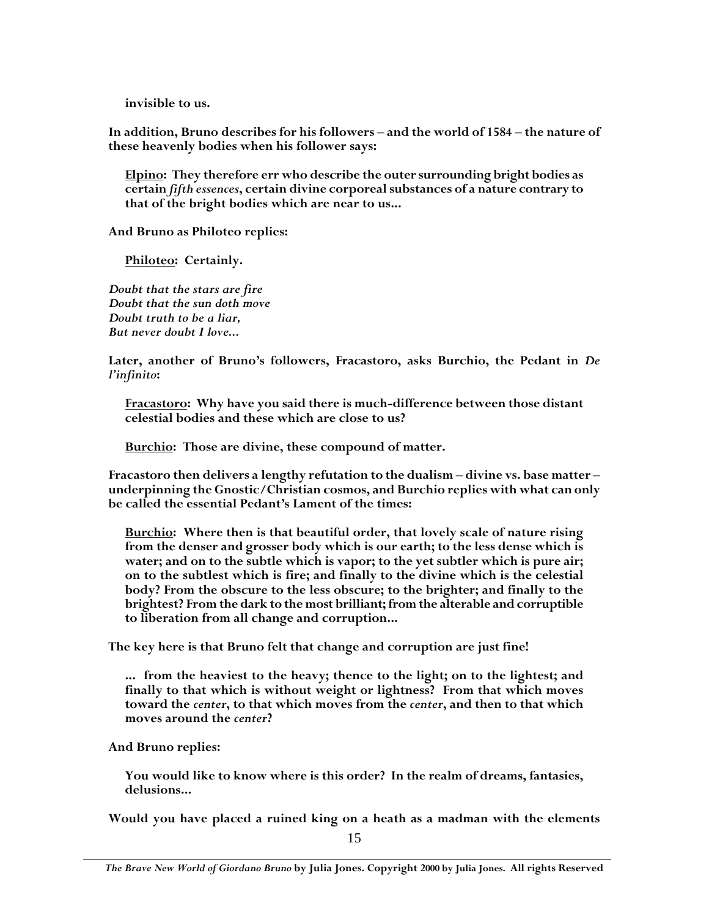**invisible to us.**

**In addition, Bruno describes for his followers – and the world of 1584 – the nature of these heavenly bodies when his follower says:**

**Elpino: They therefore err who describe the outer surrounding bright bodies as certain** *fifth essences***, certain divine corporeal substances of a nature contrary to that of the bright bodies which are near to us...**

**And Bruno as Philoteo replies:**

**Philoteo: Certainly.**

*Doubt that the stars are fire Doubt that the sun doth move Doubt truth to be a liar, But never doubt I love...*

**Later, another of Bruno's followers, Fracastoro, asks Burchio, the Pedant in** *De l'infinito***:**

**Fracastoro: Why have you said there is much-difference between those distant celestial bodies and these which are close to us?**

**Burchio: Those are divine, these compound of matter.**

**Fracastoro then delivers a lengthy refutation to the dualism – divine vs. base matter – underpinning the Gnostic/Christian cosmos, and Burchio replies with what can only be called the essential Pedant's Lament of the times:**

**Burchio: Where then is that beautiful order, that lovely scale of nature rising from the denser and grosser body which is our earth; to the less dense which is water; and on to the subtle which is vapor; to the yet subtler which is pure air; on to the subtlest which is fire; and finally to the divine which is the celestial body? From the obscure to the less obscure; to the brighter; and finally to the brightest? From the dark to the most brilliant; from the alterable and corruptible to liberation from all change and corruption...**

**The key here is that Bruno felt that change and corruption are just fine!**

**... from the heaviest to the heavy; thence to the light; on to the lightest; and finally to that which is without weight or lightness? From that which moves toward the** *center***, to that which moves from the** *center***, and then to that which moves around the** *center***?**

#### **And Bruno replies:**

**You would like to know where is this order? In the realm of dreams, fantasies, delusions...**

**Would you have placed a ruined king on a heath as a madman with the elements**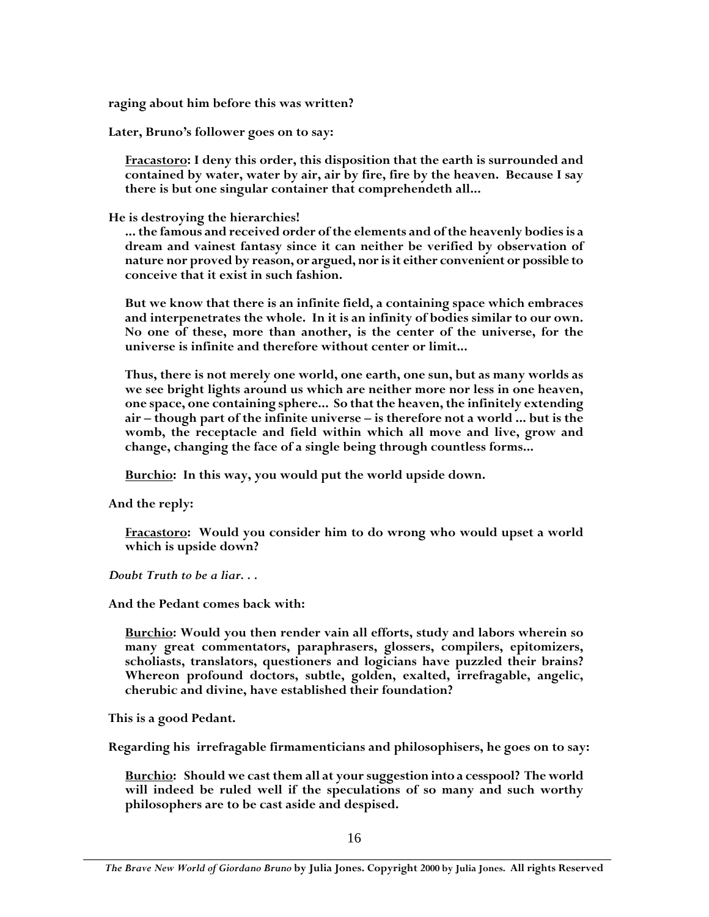**raging about him before this was written?**

**Later, Bruno's follower goes on to say:**

**Fracastoro: I deny this order, this disposition that the earth is surrounded and contained by water, water by air, air by fire, fire by the heaven. Because I say there is but one singular container that comprehendeth all...**

**He is destroying the hierarchies!**

**... the famous and received order of the elements and of the heavenly bodies is a dream and vainest fantasy since it can neither be verified by observation of nature nor proved by reason, or argued, nor is it either convenient or possible to conceive that it exist in such fashion.**

**But we know that there is an infinite field, a containing space which embraces and interpenetrates the whole. In it is an infinity of bodies similar to our own. No one of these, more than another, is the center of the universe, for the universe is infinite and therefore without center or limit...**

**Thus, there is not merely one world, one earth, one sun, but as many worlds as we see bright lights around us which are neither more nor less in one heaven, one space, one containing sphere... So that the heaven, the infinitely extending air – though part of the infinite universe – is therefore not a world ... but is the womb, the receptacle and field within which all move and live, grow and change, changing the face of a single being through countless forms...**

**Burchio: In this way, you would put the world upside down.**

**And the reply:**

**Fracastoro: Would you consider him to do wrong who would upset a world which is upside down?**

*Doubt Truth to be a liar. . .*

**And the Pedant comes back with:**

**Burchio: Would you then render vain all efforts, study and labors wherein so many great commentators, paraphrasers, glossers, compilers, epitomizers, scholiasts, translators, questioners and logicians have puzzled their brains? Whereon profound doctors, subtle, golden, exalted, irrefragable, angelic, cherubic and divine, have established their foundation?**

**This is a good Pedant.**

**Regarding his irrefragable firmamenticians and philosophisers, he goes on to say:**

**Burchio: Should we cast them all at your suggestion into a cesspool? The world will indeed be ruled well if the speculations of so many and such worthy philosophers are to be cast aside and despised.**

*The Brave New World of Giordano Bruno* **by Julia Jones. Copyright 2000 by Julia Jones. All rights Reserved**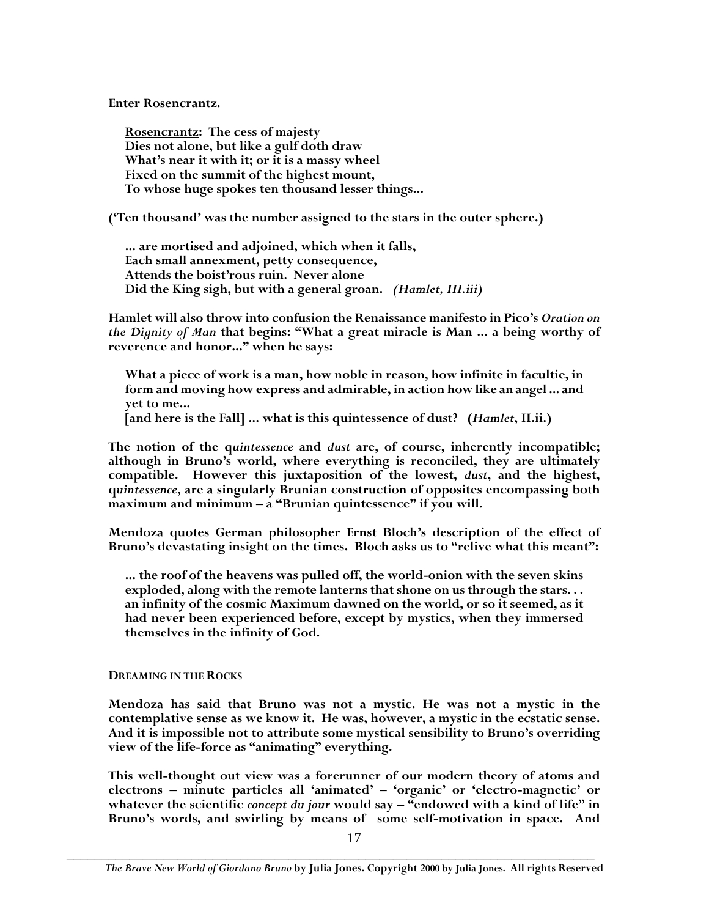**Enter Rosencrantz.**

**Rosencrantz: The cess of majesty Dies not alone, but like a gulf doth draw What's near it with it; or it is a massy wheel Fixed on the summit of the highest mount, To whose huge spokes ten thousand lesser things...**

**('Ten thousand' was the number assigned to the stars in the outer sphere.)**

**... are mortised and adjoined, which when it falls, Each small annexment, petty consequence, Attends the boist'rous ruin. Never alone Did the King sigh, but with a general groan.** *(Hamlet, III.iii)*

**Hamlet will also throw into confusion the Renaissance manifesto in Pico's** *Oration on the Dignity of Man* **that begins: "What a great miracle is Man ... a being worthy of reverence and honor..." when he says:**

**What a piece of work is a man, how noble in reason, how infinite in facultie, in form and moving how express and admirable, in action how like an angel ... and yet to me...**

**[and here is the Fall] ... what is this quintessence of dust? (***Hamlet***, II.ii.)**

**The notion of the q***uintessence* **and** *dust* **are, of course, inherently incompatible; although in Bruno's world, where everything is reconciled, they are ultimately compatible. However this juxtaposition of the lowest,** *dust***, and the highest, q***uintessence***, are a singularly Brunian construction of opposites encompassing both maximum and minimum – a "Brunian quintessence" if you will.**

**Mendoza quotes German philosopher Ernst Bloch's description of the effect of Bruno's devastating insight on the times. Bloch asks us to "relive what this meant":**

**... the roof of the heavens was pulled off, the world-onion with the seven skins exploded, along with the remote lanterns that shone on us through the stars. . . an infinity of the cosmic Maximum dawned on the world, or so it seemed, as it had never been experienced before, except by mystics, when they immersed themselves in the infinity of God.**

## **DREAMING IN THE ROCKS**

**Mendoza has said that Bruno was not a mystic. He was not a mystic in the contemplative sense as we know it. He was, however, a mystic in the ecstatic sense. And it is impossible not to attribute some mystical sensibility to Bruno's overriding view of the life-force as "animating" everything.**

**This well-thought out view was a forerunner of our modern theory of atoms and electrons – minute particles all 'animated' – 'organic' or 'electro-magnetic' or whatever the scientific** *concept du jour* **would say – "endowed with a kind of life" in Bruno's words, and swirling by means of some self-motivation in space. And**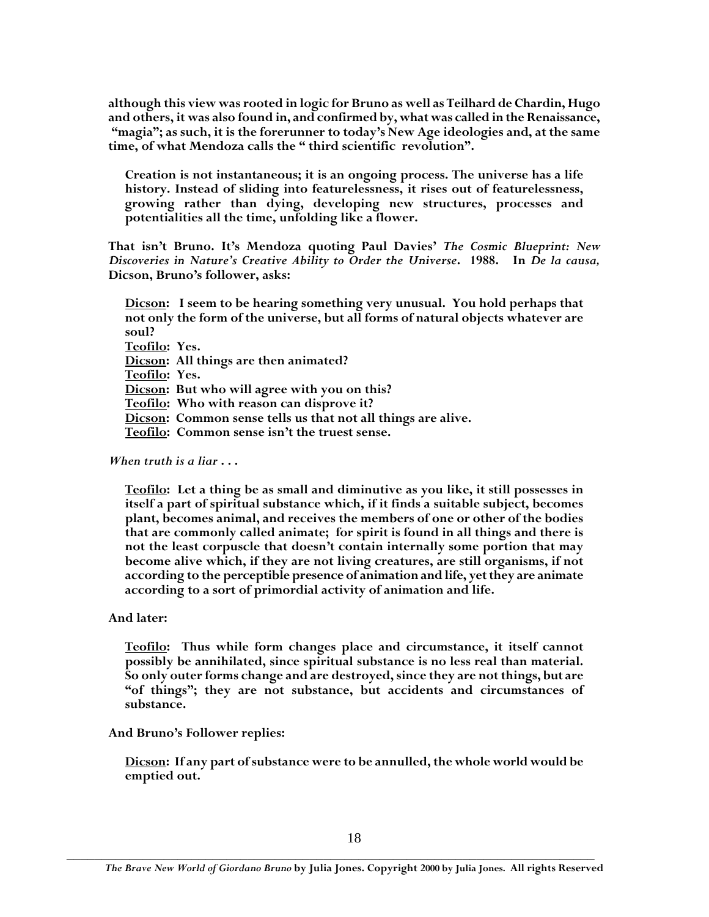**although this view was rooted in logic for Bruno as well as Teilhard de Chardin, Hugo and others, it was also found in, and confirmed by, what was called in the Renaissance, "magia"; as such, it is the forerunner to today's New Age ideologies and, at the same time, of what Mendoza calls the " third scientific revolution".**

**Creation is not instantaneous; it is an ongoing process. The universe has a life history. Instead of sliding into featurelessness, it rises out of featurelessness, growing rather than dying, developing new structures, processes and potentialities all the time, unfolding like a flower.**

**That isn't Bruno. It's Mendoza quoting Paul Davies'** *The Cosmic Blueprint: New Discoveries in Nature's Creative Ability to Order the Universe***. 1988. In** *De la causa,* **Dicson, Bruno's follower, asks:**

**Dicson: I seem to be hearing something very unusual. You hold perhaps that not only the form of the universe, but all forms of natural objects whatever are soul? Teofilo: Yes. Dicson: All things are then animated? Teofilo: Yes. Dicson: But who will agree with you on this? Teofilo: Who with reason can disprove it? Dicson: Common sense tells us that not all things are alive. Teofilo: Common sense isn't the truest sense.**

*When truth is a liar* **. . .**

**Teofilo: Let a thing be as small and diminutive as you like, it still possesses in itself a part of spiritual substance which, if it finds a suitable subject, becomes plant, becomes animal, and receives the members of one or other of the bodies that are commonly called animate; for spirit is found in all things and there is not the least corpuscle that doesn't contain internally some portion that may become alive which, if they are not living creatures, are still organisms, if not according to the perceptible presence of animation and life, yet they are animate according to a sort of primordial activity of animation and life.**

## **And later:**

**Teofilo: Thus while form changes place and circumstance, it itself cannot possibly be annihilated, since spiritual substance is no less real than material. So only outer forms change and are destroyed, since they are not things, but are "of things"; they are not substance, but accidents and circumstances of substance.**

## **And Bruno's Follower replies:**

**Dicson: If any part of substance were to be annulled, the whole world would be emptied out.**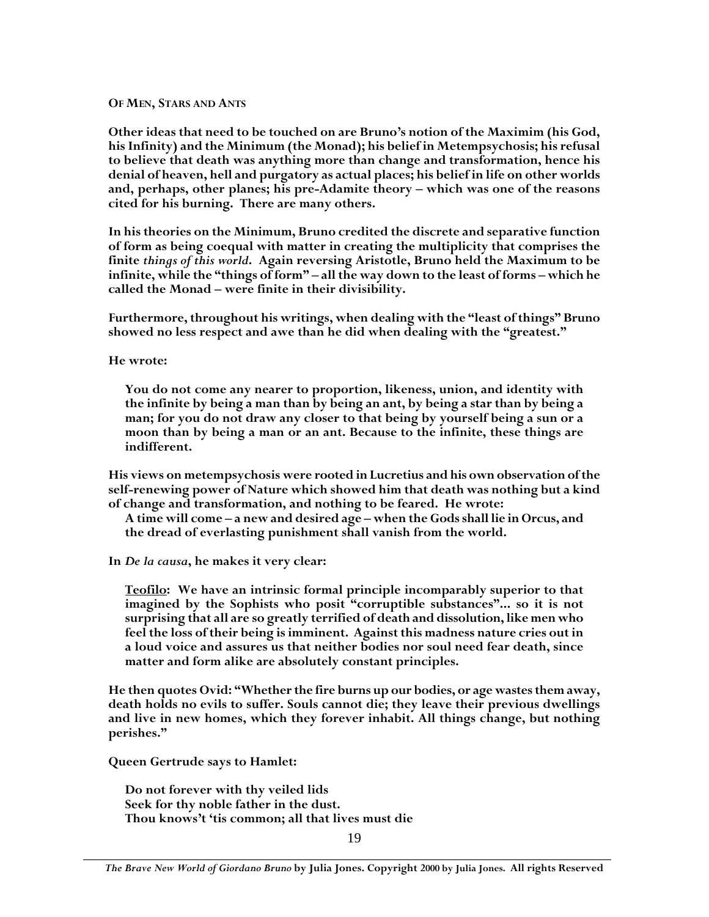#### **OF MEN, STARS AND ANTS**

**Other ideas that need to be touched on are Bruno's notion of the Maximim (his God, his Infinity) and the Minimum (the Monad); his belief in Metempsychosis; his refusal to believe that death was anything more than change and transformation, hence his denial of heaven, hell and purgatory as actual places; his belief in life on other worlds and, perhaps, other planes; his pre-Adamite theory – which was one of the reasons cited for his burning. There are many others.**

**In his theories on the Minimum, Bruno credited the discrete and separative function of form as being coequal with matter in creating the multiplicity that comprises the finite** *things of this world***. Again reversing Aristotle, Bruno held the Maximum to be infinite, while the "things of form" – all the way down to the least of forms – which he called the Monad – were finite in their divisibility.**

**Furthermore, throughout his writings, when dealing with the "least of things" Bruno showed no less respect and awe than he did when dealing with the "greatest."**

**He wrote:**

**You do not come any nearer to proportion, likeness, union, and identity with the infinite by being a man than by being an ant, by being a star than by being a man; for you do not draw any closer to that being by yourself being a sun or a moon than by being a man or an ant. Because to the infinite, these things are indifferent.**

**His views on metempsychosis were rooted in Lucretius and his own observation of the self-renewing power of Nature which showed him that death was nothing but a kind of change and transformation, and nothing to be feared. He wrote:**

**A time will come – a new and desired age – when the Gods shall lie in Orcus, and the dread of everlasting punishment shall vanish from the world.**

**In** *De la causa***, he makes it very clear:**

**Teofilo: We have an intrinsic formal principle incomparably superior to that imagined by the Sophists who posit "corruptible substances"... so it is not surprising that all are so greatly terrified of death and dissolution, like men who feel the loss of their being is imminent. Against this madness nature cries out in a loud voice and assures us that neither bodies nor soul need fear death, since matter and form alike are absolutely constant principles.**

**He then quotes Ovid: "Whether the fire burns up our bodies, or age wastes them away, death holds no evils to suffer. Souls cannot die; they leave their previous dwellings and live in new homes, which they forever inhabit. All things change, but nothing perishes."**

**Queen Gertrude says to Hamlet:**

**Do not forever with thy veiled lids Seek for thy noble father in the dust. Thou knows't 'tis common; all that lives must die**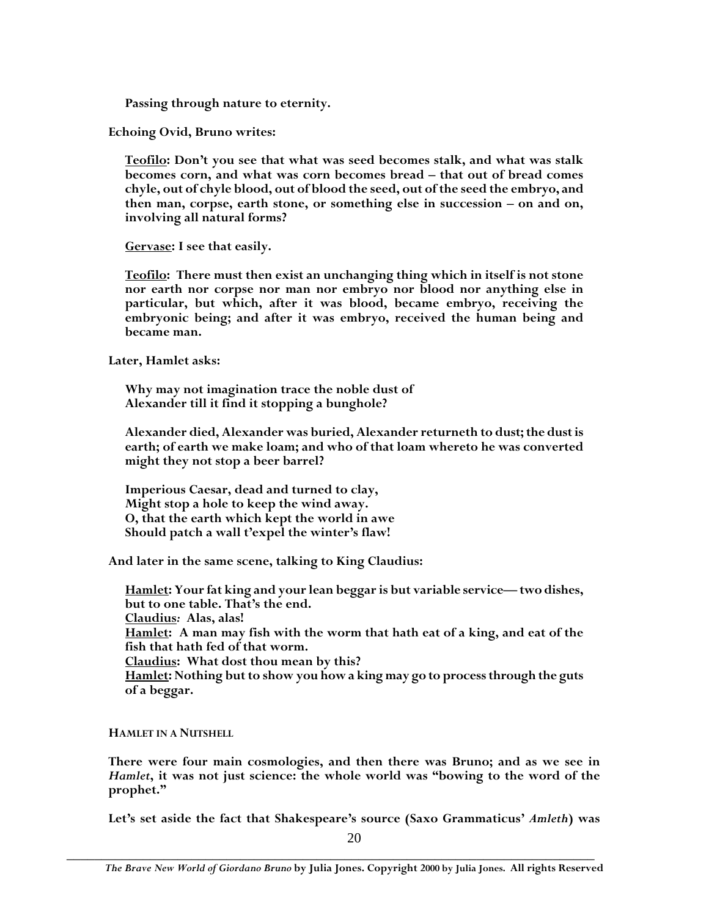**Passing through nature to eternity.**

**Echoing Ovid, Bruno writes:**

**Teofilo: Don't you see that what was seed becomes stalk, and what was stalk becomes corn, and what was corn becomes bread – that out of bread comes chyle, out of chyle blood, out of blood the seed, out of the seed the embryo, and then man, corpse, earth stone, or something else in succession – on and on, involving all natural forms?**

**Gervase: I see that easily.**

**Teofilo: There must then exist an unchanging thing which in itself is not stone nor earth nor corpse nor man nor embryo nor blood nor anything else in particular, but which, after it was blood, became embryo, receiving the embryonic being; and after it was embryo, received the human being and became man.**

**Later, Hamlet asks:**

**Why may not imagination trace the noble dust of Alexander till it find it stopping a bunghole?**

**Alexander died, Alexander was buried, Alexander returneth to dust; the dust is earth; of earth we make loam; and who of that loam whereto he was converted might they not stop a beer barrel?**

**Imperious Caesar, dead and turned to clay, Might stop a hole to keep the wind away. O, that the earth which kept the world in awe Should patch a wall t'expel the winter's flaw!**

**And later in the same scene, talking to King Claudius:**

**Hamlet: Your fat king and your lean beggar is but variable service—two dishes, but to one table. That's the end. Claudius***:* **Alas, alas! Hamlet: A man may fish with the worm that hath eat of a king, and eat of the fish that hath fed of that worm. Claudius: What dost thou mean by this? Hamlet: Nothing but to show you how a king may go to process through the guts of a beggar.**

**HAMLET IN A NUTSHELL**

**There were four main cosmologies, and then there was Bruno; and as we see in** *Hamlet***, it was not just science: the whole world was "bowing to the word of the prophet."**

**Let's set aside the fact that Shakespeare's source (Saxo Grammaticus'** *Amleth***) was**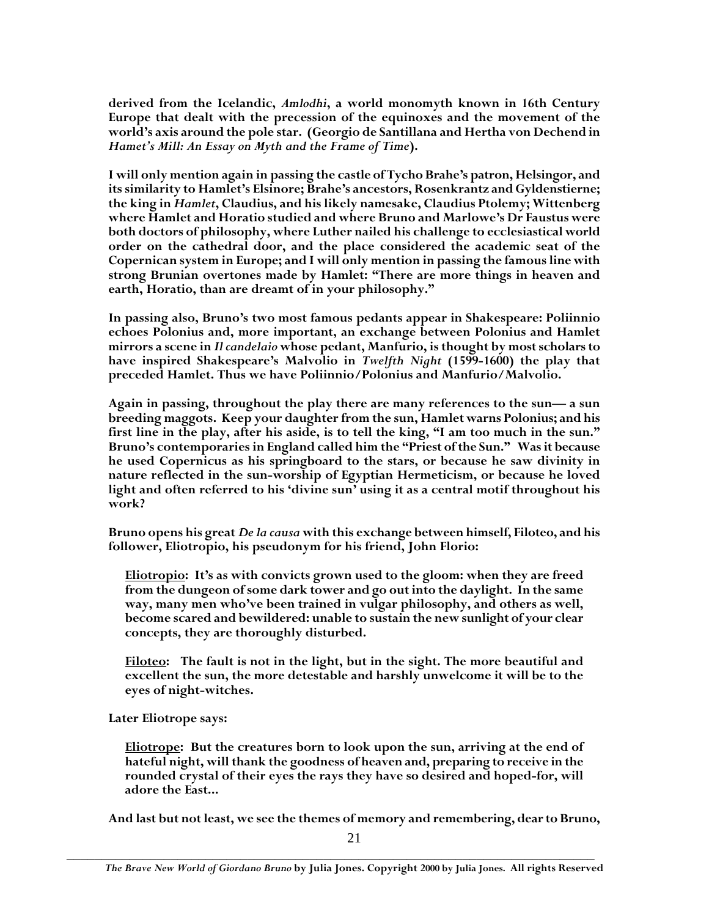**derived from the Icelandic,** *Amlodhi***, a world monomyth known in 16th Century Europe that dealt with the precession of the equinoxes and the movement of the world's axis around the pole star. (Georgio de Santillana and Hertha von Dechend in** *Hamet's Mill: An Essay on Myth and the Frame of Time***).**

**I will only mention again in passing the castle of Tycho Brahe's patron, Helsingor, and its similarity to Hamlet's Elsinore; Brahe's ancestors, Rosenkrantz and Gyldenstierne; the king in** *Hamlet***, Claudius, and his likely namesake, Claudius Ptolemy; Wittenberg where Hamlet and Horatio studied and where Bruno and Marlowe's Dr Faustus were both doctors of philosophy, where Luther nailed his challenge to ecclesiastical world order on the cathedral door, and the place considered the academic seat of the Copernican system in Europe; and I will only mention in passing the famous line with strong Brunian overtones made by Hamlet: "There are more things in heaven and earth, Horatio, than are dreamt of in your philosophy."**

**In passing also, Bruno's two most famous pedants appear in Shakespeare: Poliinnio echoes Polonius and, more important, an exchange between Polonius and Hamlet mirrors a scene in** *Il candelaio* **whose pedant, Manfurio, is thought by most scholars to have inspired Shakespeare's Malvolio in** *Twelfth Night* **(1599-1600) the play that preceded Hamlet. Thus we have Poliinnio/Polonius and Manfurio/Malvolio.**

**Again in passing, throughout the play there are many references to the sun— a sun breeding maggots. Keep your daughter from the sun, Hamlet warns Polonius; and his first line in the play, after his aside, is to tell the king, "I am too much in the sun." Bruno's contemporaries in England called him the "Priest of the Sun." Was it because he used Copernicus as his springboard to the stars, or because he saw divinity in nature reflected in the sun-worship of Egyptian Hermeticism, or because he loved light and often referred to his 'divine sun' using it as a central motif throughout his work?**

**Bruno opens his great** *De la causa* **with this exchange between himself, Filoteo, and his follower, Eliotropio, his pseudonym for his friend, John Florio:**

**Eliotropio: It's as with convicts grown used to the gloom: when they are freed from the dungeon of some dark tower and go out into the daylight. In the same way, many men who've been trained in vulgar philosophy, and others as well, become scared and bewildered: unable to sustain the new sunlight of your clear concepts, they are thoroughly disturbed.**

**Filoteo: The fault is not in the light, but in the sight. The more beautiful and excellent the sun, the more detestable and harshly unwelcome it will be to the eyes of night-witches.**

**Later Eliotrope says:**

**Eliotrope: But the creatures born to look upon the sun, arriving at the end of hateful night, will thank the goodness of heaven and, preparing to receive in the rounded crystal of their eyes the rays they have so desired and hoped-for, will adore the East...**

**And last but not least, we see the themes of memory and remembering, dear to Bruno,**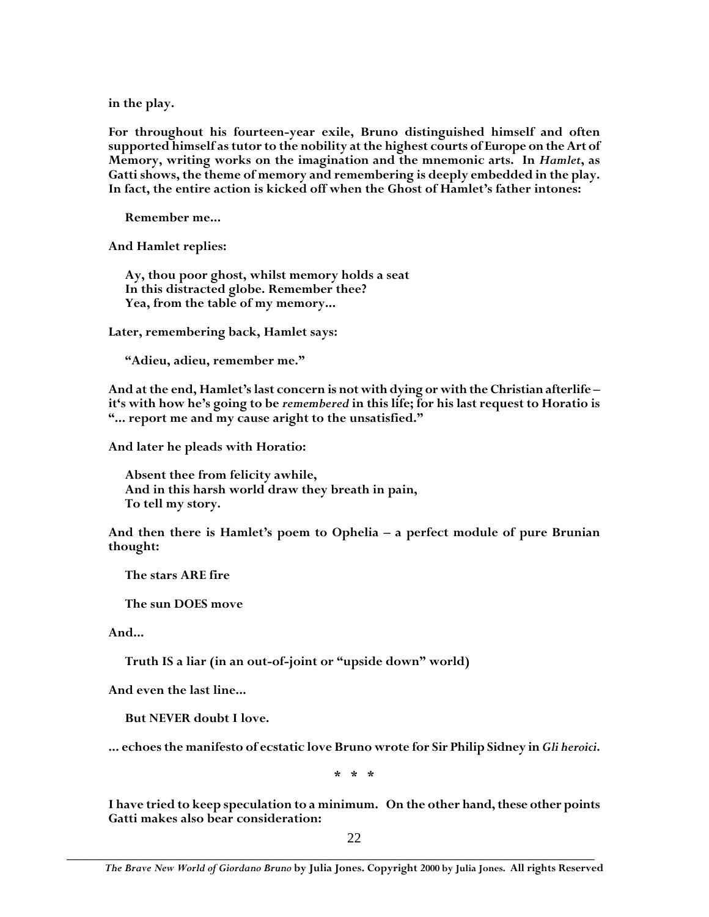**in the play.**

**For throughout his fourteen-year exile, Bruno distinguished himself and often supported himself as tutor to the nobility at the highest courts of Europe on the Art of Memory, writing works on the imagination and the mnemonic arts. In** *Hamlet***, as Gatti shows, the theme of memory and remembering is deeply embedded in the play. In fact, the entire action is kicked off when the Ghost of Hamlet's father intones:**

**Remember me...**

**And Hamlet replies:**

**Ay, thou poor ghost, whilst memory holds a seat In this distracted globe. Remember thee? Yea, from the table of my memory...**

**Later, remembering back, Hamlet says:**

**"Adieu, adieu, remember me."**

**And at the end, Hamlet's last concern is not with dying or with the Christian afterlife – it's with how he's going to be** *remembered* **in this life; for his last request to Horatio is "... report me and my cause aright to the unsatisfied."**

**And later he pleads with Horatio:**

**Absent thee from felicity awhile, And in this harsh world draw they breath in pain, To tell my story.**

**And then there is Hamlet's poem to Ophelia – a perfect module of pure Brunian thought:**

**The stars ARE fire**

**The sun DOES move**

**And...**

**Truth IS a liar (in an out-of-joint or "upside down" world)**

**And even the last line...**

**But NEVER doubt I love.**

**... echoes the manifesto of ecstatic love Bruno wrote for Sir Philip Sidney in***Gli heroici***.**

**\* \* \***

**I have tried to keep speculation to a minimum. On the other hand, these other points Gatti makes also bear consideration:**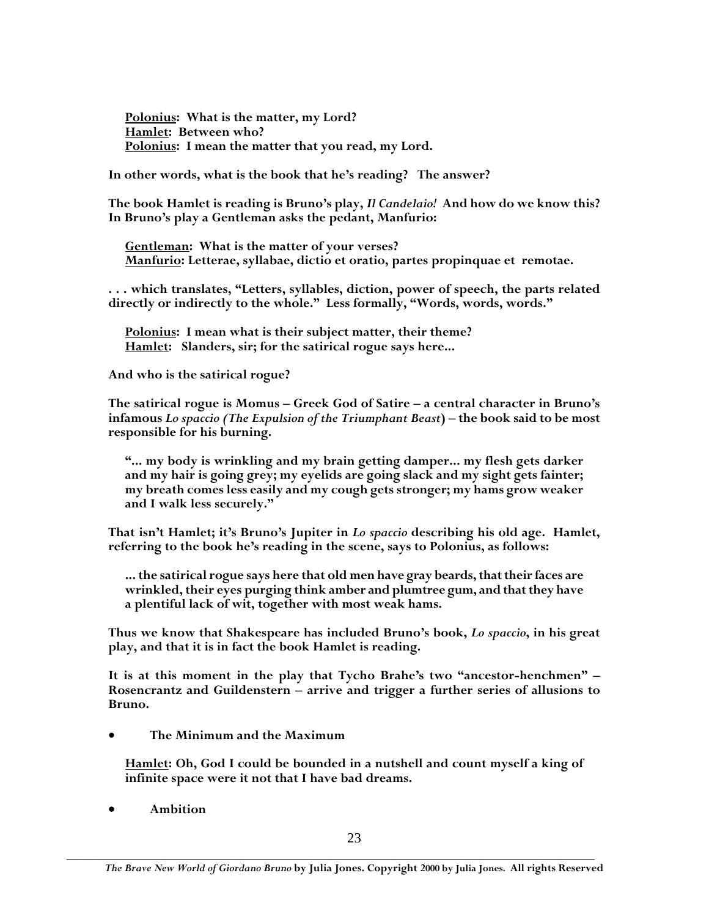**Polonius: What is the matter, my Lord? Hamlet: Between who? Polonius: I mean the matter that you read, my Lord.**

**In other words, what is the book that he's reading? The answer?**

**The book Hamlet is reading is Bruno's play,** *Il Candelaio!* **And how do we know this? In Bruno's play a Gentleman asks the pedant, Manfurio:**

**Gentleman: What is the matter of your verses? Manfurio: Letterae, syllabae, dictio et oratio, partes propinquae et remotae.**

**. . . which translates, "Letters, syllables, diction, power of speech, the parts related directly or indirectly to the whole." Less formally, "Words, words, words."**

**Polonius: I mean what is their subject matter, their theme? Hamlet: Slanders, sir; for the satirical rogue says here...**

**And who is the satirical rogue?**

**The satirical rogue is Momus – Greek God of Satire – a central character in Bruno's infamous** *Lo spaccio (The Expulsion of the Triumphant Beast***) – the book said to be most responsible for his burning.**

**"... my body is wrinkling and my brain getting damper... my flesh gets darker and my hair is going grey; my eyelids are going slack and my sight gets fainter; my breath comes less easily and my cough gets stronger; my hams grow weaker and I walk less securely."**

**That isn't Hamlet; it's Bruno's Jupiter in** *Lo spaccio* **describing his old age. Hamlet, referring to the book he's reading in the scene, says to Polonius, as follows:**

**... the satirical rogue says here that old men have gray beards, that their faces are wrinkled, their eyes purging think amber and plumtree gum, and that they have a plentiful lack of wit, together with most weak hams.**

**Thus we know that Shakespeare has included Bruno's book,** *Lo spaccio***, in his great play, and that it is in fact the book Hamlet is reading.**

**It is at this moment in the play that Tycho Brahe's two "ancestor-henchmen" – Rosencrantz and Guildenstern – arrive and trigger a further series of allusions to Bruno.**

**The Minimum and the Maximum**

**Hamlet: Oh, God I could be bounded in a nutshell and count myself a king of infinite space were it not that I have bad dreams.**

**Ambition**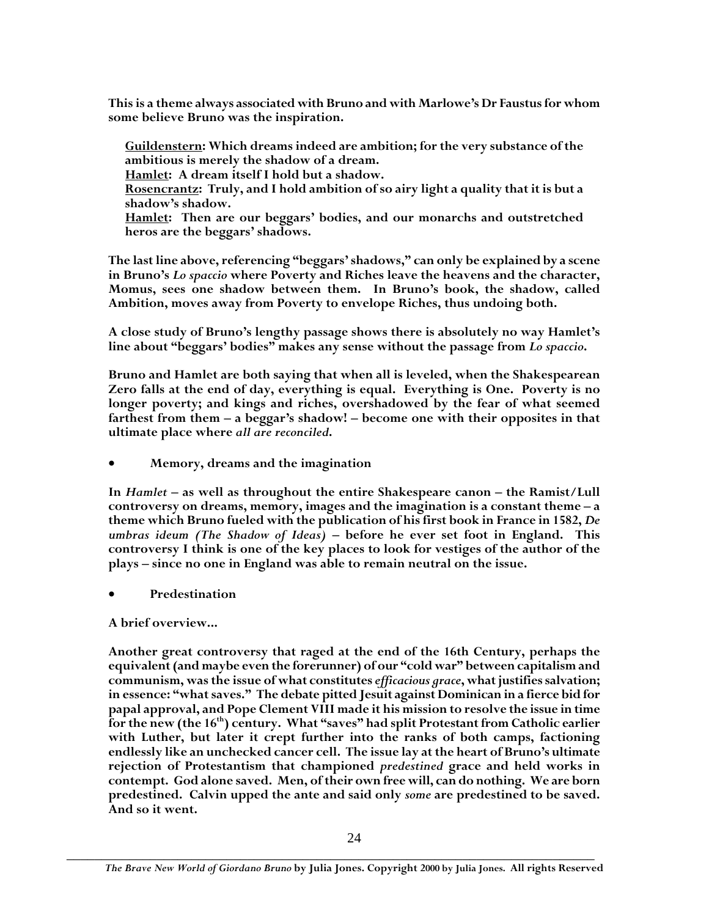**This is a theme always associated with Bruno and with Marlowe's Dr Faustus for whom some believe Bruno was the inspiration.**

**Guildenstern: Which dreams indeed are ambition; for the very substance of the ambitious is merely the shadow of a dream.**

**Hamlet: A dream itself I hold but a shadow.**

**Rosencrantz: Truly, and I hold ambition of so airy light a quality that it is but a shadow's shadow.**

**Hamlet: Then are our beggars' bodies, and our monarchs and outstretched heros are the beggars' shadows.**

**The last line above, referencing "beggars' shadows," can only be explained by a scene in Bruno's** *Lo spaccio* **where Poverty and Riches leave the heavens and the character, Momus, sees one shadow between them. In Bruno's book, the shadow, called Ambition, moves away from Poverty to envelope Riches, thus undoing both.**

**A close study of Bruno's lengthy passage shows there is absolutely no way Hamlet's line about "beggars' bodies" makes any sense without the passage from** *Lo spaccio***.**

**Bruno and Hamlet are both saying that when all is leveled, when the Shakespearean Zero falls at the end of day, everything is equal. Everything is One. Poverty is no longer poverty; and kings and riches, overshadowed by the fear of what seemed farthest from them – a beggar's shadow! – become one with their opposites in that ultimate place where** *all are reconciled***.**

**Memory, dreams and the imagination**

**In** *Hamlet* **– as well as throughout the entire Shakespeare canon – the Ramist/Lull controversy on dreams, memory, images and the imagination is a constant theme – a theme which Bruno fueled with the publication of his first book in France in 1582,** *De umbras ideum (The Shadow of Ideas)* **– before he ever set foot in England. This controversy I think is one of the key places to look for vestiges of the author of the plays – since no one in England was able to remain neutral on the issue.**

**Predestination**

**A brief overview...**

**Another great controversy that raged at the end of the 16th Century, perhaps the equivalent (and maybe even the forerunner) of our "cold war" between capitalism and communism, was the issue of what constitutes** *efficacious grace***, what justifies salvation; in essence: "what saves." The debate pitted Jesuit against Dominican in a fierce bid for papal approval, and Pope Clement VIII made it his mission to resolve the issue in time for the new (the 16th) century. What "saves" had split Protestant from Catholic earlier with Luther, but later it crept further into the ranks of both camps, factioning endlessly like an unchecked cancer cell. The issue lay at the heart of Bruno's ultimate rejection of Protestantism that championed** *predestined* **grace and held works in contempt. God alone saved. Men, of their own free will, can do nothing. We are born predestined. Calvin upped the ante and said only** *some* **are predestined to be saved. And so it went.**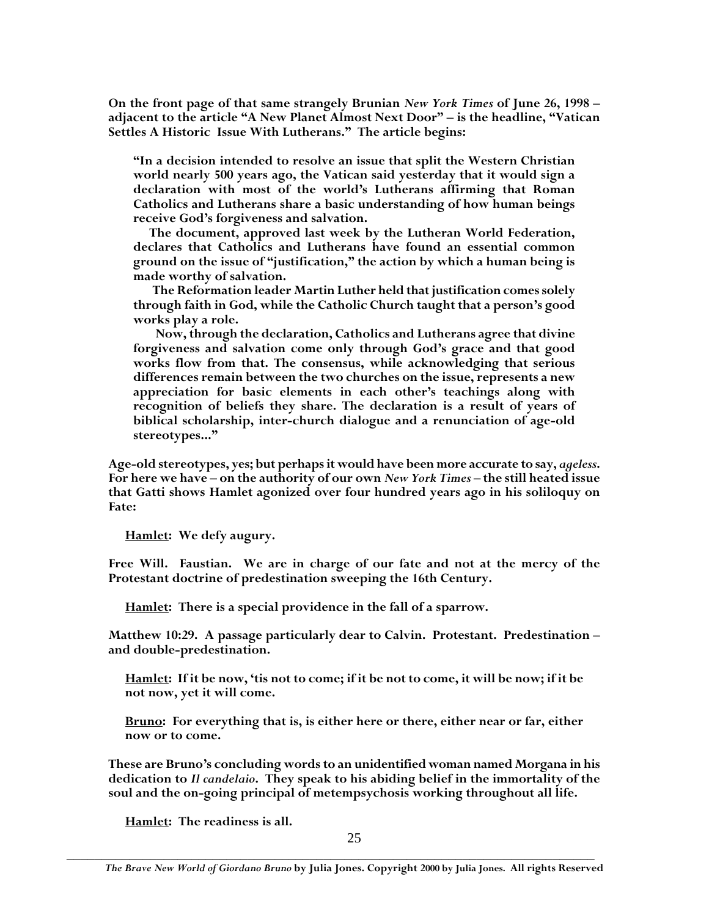**On the front page of that same strangely Brunian** *New York Times* **of June 26, 1998 – adjacent to the article "A New Planet Almost Next Door" – is the headline, "Vatican Settles A Historic Issue With Lutherans." The article begins:**

**"In a decision intended to resolve an issue that split the Western Christian world nearly 500 years ago, the Vatican said yesterday that it would sign a declaration with most of the world's Lutherans affirming that Roman Catholics and Lutherans share a basic understanding of how human beings receive God's forgiveness and salvation.**

**The document, approved last week by the Lutheran World Federation, declares that Catholics and Lutherans have found an essential common ground on the issue of "justification," the action by which a human being is made worthy of salvation.**

**The Reformation leader Martin Luther held that justification comes solely through faith in God, while the Catholic Church taught that a person's good works play a role.**

**Now, through the declaration, Catholics and Lutherans agree that divine forgiveness and salvation come only through God's grace and that good works flow from that. The consensus, while acknowledging that serious differences remain between the two churches on the issue, represents a new appreciation for basic elements in each other's teachings along with recognition of beliefs they share. The declaration is a result of years of biblical scholarship, inter-church dialogue and a renunciation of age-old stereotypes..."**

**Age-old stereotypes, yes; but perhaps it would have been more accurate to say,** *ageless***. For here we have – on the authority of our own** *New York Times* **– the still heated issue that Gatti shows Hamlet agonized over four hundred years ago in his soliloquy on Fate:**

**Hamlet: We defy augury.**

**Free Will. Faustian. We are in charge of our fate and not at the mercy of the Protestant doctrine of predestination sweeping the 16th Century.**

**Hamlet: There is a special providence in the fall of a sparrow.**

**Matthew 10:29. A passage particularly dear to Calvin. Protestant. Predestination – and double-predestination.**

**Hamlet: If it be now, 'tis not to come; if it be not to come, it will be now; if it be not now, yet it will come.**

**Bruno: For everything that is, is either here or there, either near or far, either now or to come.**

**These are Bruno's concluding words to an unidentified woman named Morgana in his dedication to** *Il candelaio***. They speak to his abiding belief in the immortality of the soul and the on-going principal of metempsychosis working throughout all life.**

**Hamlet: The readiness is all.**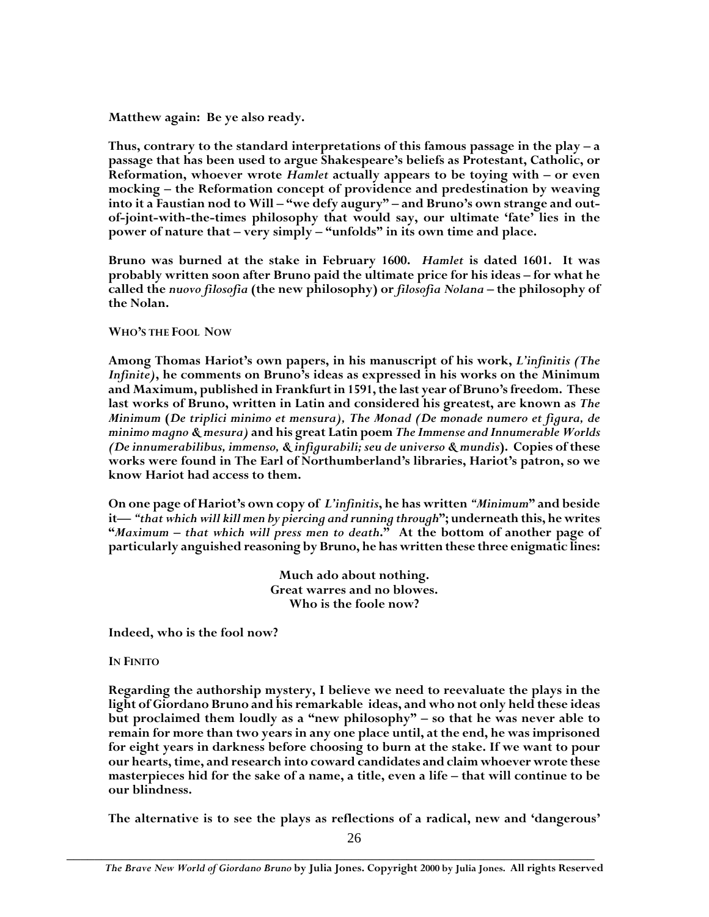**Matthew again: Be ye also ready.**

**Thus, contrary to the standard interpretations of this famous passage in the play – a passage that has been used to argue Shakespeare's beliefs as Protestant, Catholic, or Reformation, whoever wrote** *Hamlet* **actually appears to be toying with – or even mocking – the Reformation concept of providence and predestination by weaving into it a Faustian nod to Will – "we defy augury" – and Bruno's own strange and outof-joint-with-the-times philosophy that would say, our ultimate 'fate' lies in the power of nature that – very simply – "unfolds" in its own time and place.**

**Bruno was burned at the stake in February 1600.** *Hamlet* **is dated 1601. It was probably written soon after Bruno paid the ultimate price for his ideas – for what he called the** *nuovo filosofia* **(the new philosophy) or** *filosofia Nolana* **– the philosophy of the Nolan.**

## **WHO'S THE FOOL NOW**

**Among Thomas Hariot's own papers, in his manuscript of his work,** *L'infinitis (The Infinite)***, he comments on Bruno's ideas as expressed in his works on the Minimum and Maximum, published in Frankfurt in 1591, the last year of Bruno's freedom. These last works of Bruno, written in Latin and considered his greatest, are known as** *The Minimum* **(***De triplici minimo et mensura), The Monad (De monade numero et figura, de minimo magno & mesura)* **and his great Latin poem** *The Immense and Innumerable Worlds (De innumerabilibus, immenso, & infigurabili; seu de universo & mundis***). Copies of these works were found in The Earl of Northumberland's libraries, Hariot's patron, so we know Hariot had access to them.**

**On one page of Hariot's own copy of** *L'infinitis***, he has written** *"Minimum***" and beside it—** *"that which will kill men by piercing and running through***"; underneath this, he writes "***Maximum – that which will press men to death***." At the bottom of another page of particularly anguished reasoning by Bruno, he has written these three enigmatic lines:**

> **Much ado about nothing. Great warres and no blowes. Who is the foole now?**

**Indeed, who is the fool now?**

## **IN FINITO**

**Regarding the authorship mystery, I believe we need to reevaluate the plays in the light of Giordano Bruno and his remarkable ideas, and who not only held these ideas but proclaimed them loudly as a "new philosophy" – so that he was never able to remain for more than two years in any one place until, at the end, he was imprisoned for eight years in darkness before choosing to burn at the stake. If we want to pour our hearts, time, and research into coward candidates and claim whoever wrote these masterpieces hid for the sake of a name, a title, even a life – that will continue to be our blindness.**

**The alternative is to see the plays as reflections of a radical, new and 'dangerous'**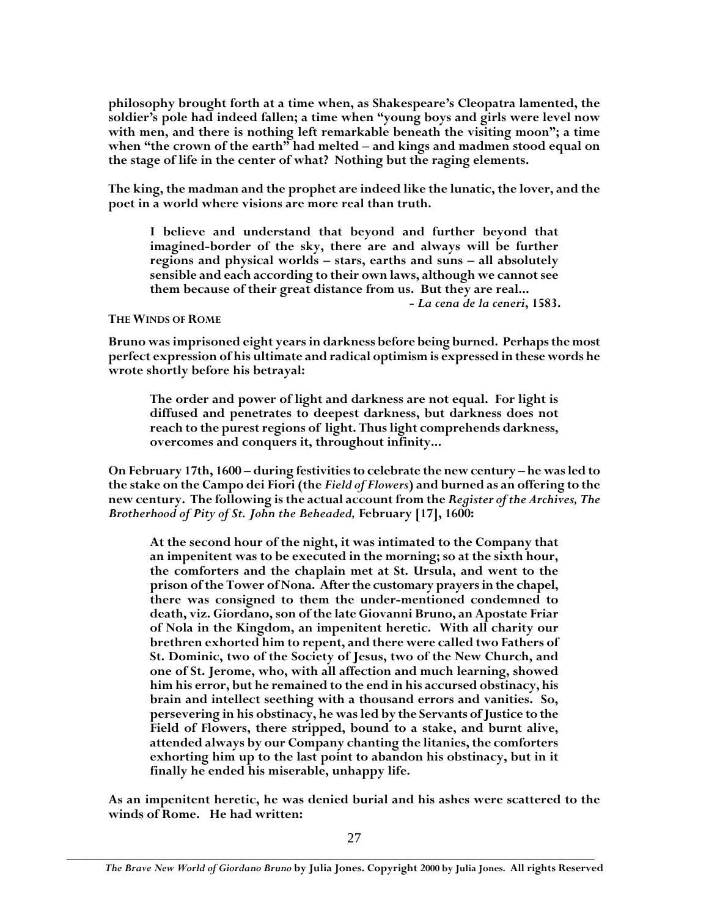**philosophy brought forth at a time when, as Shakespeare's Cleopatra lamented, the soldier's pole had indeed fallen; a time when "young boys and girls were level now with men, and there is nothing left remarkable beneath the visiting moon"; a time when "the crown of the earth" had melted – and kings and madmen stood equal on the stage of life in the center of what? Nothing but the raging elements.**

**The king, the madman and the prophet are indeed like the lunatic, the lover, and the poet in a world where visions are more real than truth.**

**I believe and understand that beyond and further beyond that imagined-border of the sky, there are and always will be further regions and physical worlds – stars, earths and suns – all absolutely sensible and each according to their own laws, although we cannot see them because of their great distance from us. But they are real...**

#### **-** *La cena de la ceneri***, 1583.**

#### **THE WINDS OF ROME**

**Bruno was imprisoned eight years in darkness before being burned. Perhaps the most perfect expression of his ultimate and radical optimism is expressed in these words he wrote shortly before his betrayal:**

**The order and power of light and darkness are not equal. For light is diffused and penetrates to deepest darkness, but darkness does not reach to the purest regions of light. Thus light comprehends darkness, overcomes and conquers it, throughout infinity...**

**On February 17th, 1600 – during festivitiesto celebrate the new century – he was led to the stake on the Campo dei Fiori (the** *Field of Flowers***) and burned as an offering to the new century. The following is the actual account from the** *Register of the Archives, The Brotherhood of Pity of St. John the Beheaded,* **February [17], 1600:**

**At the second hour of the night, it was intimated to the Company that an impenitent was to be executed in the morning; so at the sixth hour, the comforters and the chaplain met at St. Ursula, and went to the prison of the Tower of Nona. After the customary prayers in the chapel, there was consigned to them the under-mentioned condemned to death, viz. Giordano, son of the late Giovanni Bruno, an Apostate Friar of Nola in the Kingdom, an impenitent heretic. With all charity our brethren exhorted him to repent, and there were called two Fathers of St. Dominic, two of the Society of Jesus, two of the New Church, and one of St. Jerome, who, with all affection and much learning, showed him his error, but he remained to the end in his accursed obstinacy, his brain and intellect seething with a thousand errors and vanities. So, persevering in his obstinacy, he was led by the Servants of Justice to the Field of Flowers, there stripped, bound to a stake, and burnt alive, attended always by our Company chanting the litanies, the comforters exhorting him up to the last point to abandon his obstinacy, but in it finally he ended his miserable, unhappy life.**

**As an impenitent heretic, he was denied burial and his ashes were scattered to the winds of Rome. He had written:**